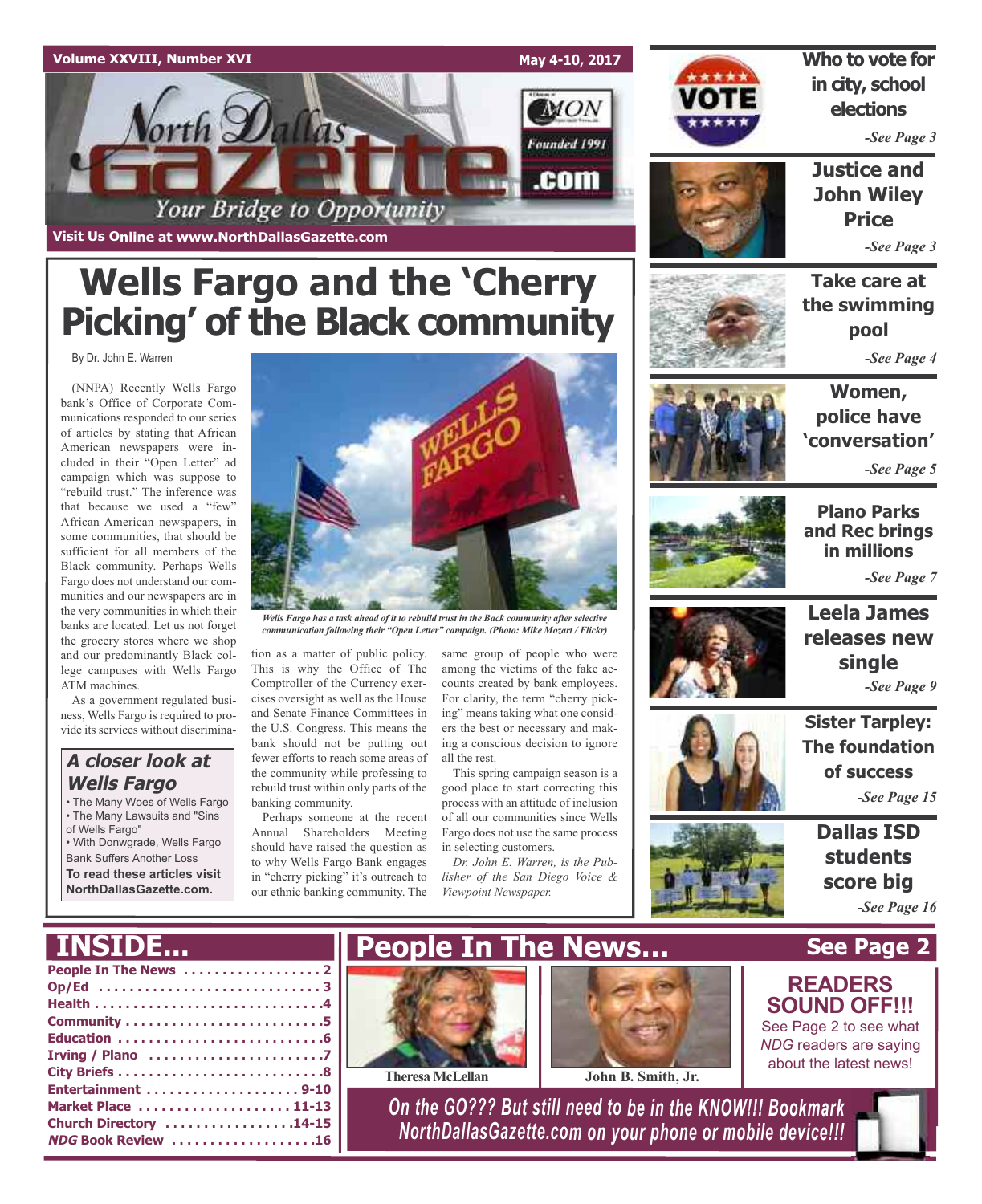

## **Wells Fargo and the 'Cherry Picking' of the Black community**

By Dr. John E. Warren

(NNPA) Recently Wells Fargo bank's Office of Corporate Communications responded to our series of articles by stating that African American newspapers were included in their "Open Letter" ad campaign which was suppose to "rebuild trust." The inference was that because we used a "few" African American newspapers, in some communities, that should be sufficient for all members of the Black community. Perhaps Wells Fargo does not understand our communities and our newspapers are in the very communities in which their banks are located. Let us not forget the grocery stores where we shop and our predominantly Black college campuses with Wells Fargo ATM machines.

As a government regulated business, Wells Fargo is required to provide its services without discrimina-

### **A closer look at Wells Fargo**

• The Many Woes of Wells Fargo • The Many Lawsuits and "Sins of Wells Fargo"

• With Donwgrade, Wells Fargo Bank Suffers Another Loss

**To read these articles visit NorthDallasGazette.com.**



*Wells Fargo has a task ahead of it to rebuild trust in the Back community after selective communication following their "Open Letter" campaign. (Photo: Mike Mozart / Flickr)*

tion as a matter of public policy. This is why the Office of The Comptroller of the Currency exercises oversight as well as the House and Senate Finance Committees in the U.S. Congress. This means the bank should not be putting out fewer efforts to reach some areas of the community while professing to rebuild trust within only parts of the banking community.

Perhaps someone at the recent Annual Shareholders Meeting should have raised the question as to why Wells Fargo Bank engages in "cherry picking" it's outreach to our ethnic banking community. The

same group of people who were among the victims of the fake accounts created by bank employees. For clarity, the term "cherry picking" means taking what one considers the best or necessary and making a conscious decision to ignore all the rest.

This spring campaign season is a good place to start correcting this process with an attitude of inclusion of all our communities since Wells Fargo does not use the same process in selecting customers.

*Dr. John E. Warren, is the Publisher of the San Diego Voice & Viewpoint Newspaper.*



**Who to vote for in city, school elections**

*-See Page 3*

**Justice and John Wiley Price**

*-See Page 3*

**Take care at the swimming pool** *-See Page 4*

**Women, police have 'conversation'**

*-See Page 5*



**Plano Parks and Rec brings in millions** *-See Page 7*

**Leela James releases new**

**single**



**Sister Tarpley: The foundation of success** *-See Page 9*

*-See Page 15*

**Dallas ISD students score big** *-See Page 16*

**See Page 2**

**INSIDE...**

| Op/Ed 3                |
|------------------------|
|                        |
|                        |
|                        |
|                        |
|                        |
| Entertainment 9-10     |
| Market Place  11-13    |
| Church Directory 14-15 |
| NDG Book Review 16     |
|                        |









**TheresaMcLellan John B. Smith, Jr.**

*On the GO??? But still need to be in the KNOW!!! Bookmark NorthDallasGazette.com on your phone or mobile device!!!*



See Page 2 to see what *NDG* readers are saying about the latest news!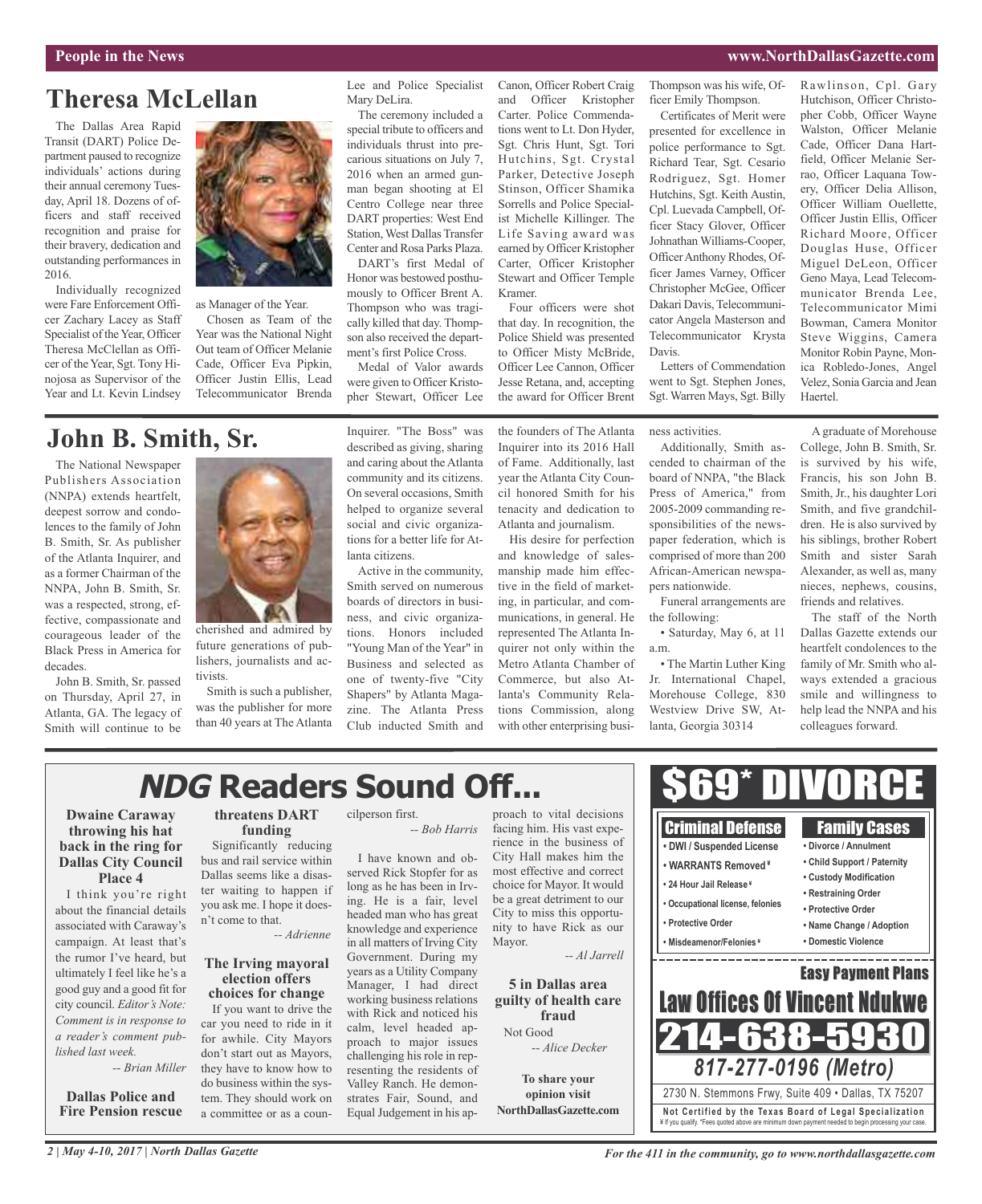### **People in the News www.NorthDallasGazette.com**

Rawlinson, Cpl. Gary Hutchison, Officer Christopher Cobb, Officer Wayne Walston, Officer Melanie Cade, Officer Dana Hart-

### **Theresa McLellan**

The Dallas Area Rapid Transit (DART) Police Department paused to recognize individuals' actions during their annual ceremony Tuesday, April 18. Dozens of officers and staff received recognition and praise for their bravery, dedication and outstanding performances in 2016.

Individually recognized were Fare Enforcement Officer Zachary Lacey as Staff Specialist of the Year, Officer Theresa McClellan as Officer of the Year, Sgt. Tony Hinojosa as Supervisor of the Year and Lt. Kevin Lindsey



as Manager of the Year. Chosen as Team of the Year was the National Night Out team of Officer Melanie Cade, Officer Eva Pipkin, Officer Justin Ellis, Lead Telecommunicator Brenda

### **John B. Smith, Sr.**

The National Newspaper Publishers Association (NNPA) extends heartfelt, deepest sorrow and condolences to the family of John B. Smith, Sr. As publisher of the Atlanta Inquirer, and as a former Chairman of the NNPA, John B. Smith, Sr. was a respected, strong, effective, compassionate and courageous leader of the Black Press in America for decades.

John B. Smith, Sr. passed on Thursday, April 27, in Atlanta, GA. The legacy of Smith will continue to be



cherished and admired by future generations of publishers, journalists and activists.

Smith is such a publisher, was the publisher for more than 40 years at The Atlanta Inquirer. "The Boss" was described as giving, sharing and caring about the Atlanta community and its citizens. On several occasions, Smith helped to organize several social and civic organizations for a better life for Atlanta citizens.

Lee and Police Specialist

The ceremony included a special tribute to officers and individuals thrust into precarious situations on July 7, 2016 when an armed gunman began shooting at El Centro College near three DART properties: West End Station, West Dallas Transfer Center and Rosa Parks Plaza. DART's first Medal of Honor was bestowed posthumously to Officer Brent A. Thompson who was tragically killed that day. Thompson also received the department's first Police Cross. Medal of Valor awards were given to Officer Kristopher Stewart, Officer Lee

Mary DeLira.

Active in the community, Smith served on numerous boards of directors in business, and civic organizations. Honors included "Young Man of the Year" in Business and selected as one of twenty-five "City Shapers" by Atlanta Magazine. The Atlanta Press Club inducted Smith and Canon, Officer Robert Craig and Officer Kristopher Carter. Police Commendations went to Lt. Don Hyder, Sgt. Chris Hunt, Sgt. Tori Hutchins, Sgt. Crystal Parker, Detective Joseph Stinson, Officer Shamika Sorrells and Police Specialist Michelle Killinger. The Life Saving award was earned by Officer Kristopher Carter, Officer Kristopher Stewart and Officer Temple Kramer.

Four officers were shot that day. In recognition, the Police Shield was presented to Officer Misty McBride, Officer Lee Cannon, Officer Jesse Retana, and, accepting the award for Officer Brent

the founders of The Atlanta Inquirer into its 2016 Hall of Fame. Additionally, last year the Atlanta City Council honored Smith for his tenacity and dedication to Atlanta and journalism.

His desire for perfection and knowledge of salesmanship made him effective in the field of marketing, in particular, and communications, in general. He represented The Atlanta Inquirer not only within the Metro Atlanta Chamber of Commerce, but also Atlanta's Community Relations Commission, along with other enterprising busi-

Thompson was his wife, Officer Emily Thompson.

Certificates of Merit were presented for excellence in police performance to Sgt. Richard Tear, Sgt. Cesario Rodriguez, Sgt. Homer Hutchins, Sgt. Keith Austin, Cpl. Luevada Campbell, Officer Stacy Glover, Officer Johnathan Williams-Cooper, OfficerAnthony Rhodes, Officer James Varney, Officer Christopher McGee, Officer Dakari Davis, Telecommunicator Angela Masterson and Telecommunicator Krysta Davis.

Letters of Commendation went to Sgt. Stephen Jones, Sgt. Warren Mays, Sgt. Billy

ness activities.

Additionally, Smith ascended to chairman of the board of NNPA, "the Black Press of America," from 2005-2009 commanding responsibilities of the newspaper federation, which is comprised of more than 200 African-American newspapers nationwide.

Funeral arrangements are the following:

• Saturday, May 6, at 11 a.m.

• The Martin Luther King Jr. International Chapel, Morehouse College, 830 Westview Drive SW, Atlanta, Georgia 30314

A graduate of Morehouse field, Officer Melanie Serrao, Officer Laquana Towery, Officer Delia Allison, Officer William Ouellette, Officer Justin Ellis, Officer Richard Moore, Officer Douglas Huse, Officer Miguel DeLeon, Officer Geno Maya, Lead Telecommunicator Brenda Lee, Telecommunicator Mimi Bowman, Camera Monitor Steve Wiggins, Camera Monitor Robin Payne, Monica Robledo-Jones, Angel Velez, Sonia Garcia and Jean Haertel.

College, John B. Smith, Sr. is survived by his wife, Francis, his son John B. Smith, Jr., his daughter Lori Smith, and five grandchildren. He is also survived by his siblings, brother Robert Smith and sister Sarah Alexander, as well as, many nieces, nephews, cousins, friends and relatives.

The staff of the North Dallas Gazette extends our heartfelt condolences to the family of Mr. Smith who always extended a gracious smile and willingness to help lead the NNPA and his colleagues forward.

## **NDG Readers Sound Off...**

### **Dwaine Caraway throwing his hat back in the ring for Dallas City Council Place 4**

I think you're right about the financial details associated with Caraway's campaign. At least that's the rumor I've heard, but ultimately I feel like he's a good guy and a good fit for city council. *Editor's Note: Comment is in response to a reader's comment published last week.*

*-- Brian Miller*

**Dallas Police and Fire Pension rescue**

### **threatens DART funding**

Significantly reducing bus and rail service within Dallas seems like a disaster waiting to happen if you ask me. I hope it doesn't come to that.

*-- Adrienne*

### **The Irving mayoral election offers choices for change**

If you want to drive the car you need to ride in it for awhile. City Mayors don't start out as Mayors, they have to know how to do business within the system. They should work on a committee or as a councilperson first. *-- Bob Harris*

I have known and observed Rick Stopfer for as long as he has been in Irving. He is a fair, level headed man who has great knowledge and experience in all matters of Irving City Government. During my years as a Utility Company Manager, I had direct working business relations with Rick and noticed his calm, level headed approach to major issues challenging his role in representing the residents of Valley Ranch. He demonstrates Fair, Sound, and Equal Judgement in his approach to vital decisions facing him. His vast experience in the business of City Hall makes him the most effective and correct choice for Mayor. It would be a great detriment to our City to miss this opportunity to have Rick as our Mayor.

**5 in Dallas area guilty of health care fraud** Not Good

*-- Alice Decker*

**To share your opinion visit NorthDallasGazette.com**



\$69\* DIVORCE

*For the 411 in the community, go to www.northdallasgazette.com*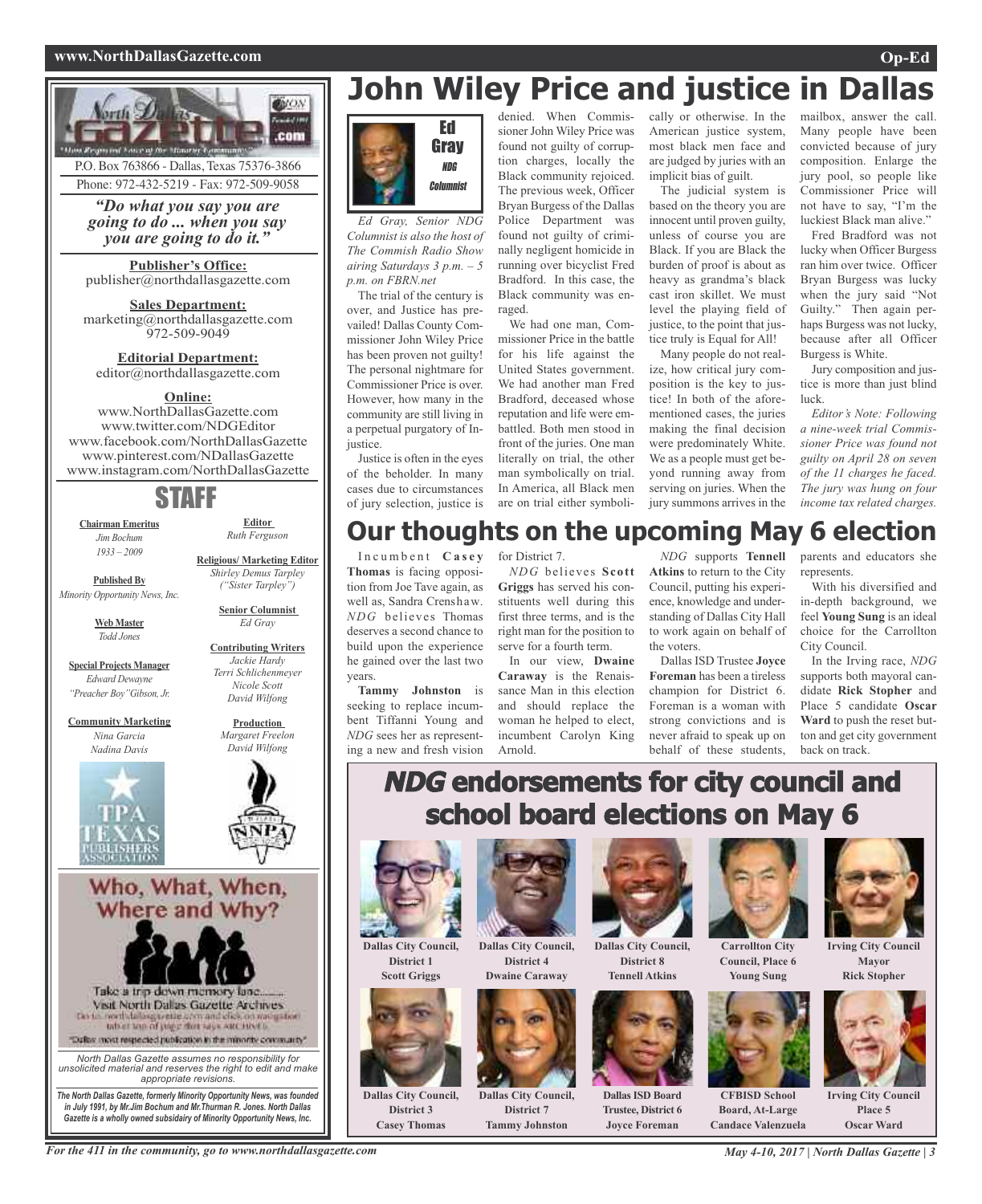### **www.NorthDallasGazette.com Op-Ed**



P.O. Box 763866 - Dallas, Texas 75376-3866 Phone: 972-432-5219 - Fax: 972-509-9058

*"Do what you say you are going to do ... when you say you are going to do it."*

**Publisher's Office:** publisher@northdallasgazette.com

**Sales Department:** marketing@northdallasgazette.com 972-509-9049

**Editorial Department:** editor@northdallasgazette.com

### **Online:**

www.NorthDallasGazette.com www.twitter.com/NDGEditor www.facebook.com/NorthDallasGazette www.pinterest.com/NDallasGazette www.instagram.com/NorthDallasGazette

## STAFF

**Chairman Emeritus** *Jim Bochum 1933 – 2009*

**Published By**

*Minority Opportunity News, Inc.*

**Web Master** *Todd Jones*

**Special Projects Manager** *Edward Dewayne "Preacher Boy"Gibson, Jr.*

**Community Marketing** *Nina Garcia Nadina Davis*





**Editor** *Ruth Ferguson*

**Religious/ Marketing Editor** *Shirley Demus Tarpley ("Sister Tarpley")* **Senior Columnist** *Ed Gray*

> **Contributing Writers** *Jackie Hardy Terri Schlichenmeyer Nicole Scott David Wilfong*

> > **Production**

Who, What, When, Where and Why?



*North Dallas Gazette assumes no responsibility for unsolicited material and reserves the right to edit and make appropriate revisions. The North Dallas Gazette, formerly Minority Opportunity News, was founded*

*in July 1991, by Mr.Jim Bochum and Mr.Thurman R. Jones. North Dallas Gazette is a wholly owned subsidairy of Minority Opportunity News, Inc.*

## **John Wiley Price and justice in Dallas**



*Ed Gray, Senior NDG Columnist is also the host of The Commish Radio Show airing Saturdays 3 p.m. – 5 p.m. on FBRN.net*

The trial of the century is over, and Justice has prevailed! Dallas County Commissioner John Wiley Price has been proven not guilty! The personal nightmare for Commissioner Price is over. However, how many in the community are still living in a perpetual purgatory of Injustice.

Justice is often in the eyes of the beholder. In many cases due to circumstances of jury selection, justice is

denied. When Commissioner John Wiley Price was found not guilty of corruption charges, locally the Black community rejoiced. The previous week, Officer Bryan Burgess of the Dallas Police Department was found not guilty of criminally negligent homicide in running over bicyclist Fred Bradford. In this case, the Black community was enraged.

We had one man, Commissioner Price in the battle for his life against the United States government. We had another man Fred Bradford, deceased whose reputation and life were embattled. Both men stood in front of the juries. One man literally on trial, the other man symbolically on trial. In America, all Black men are on trial either symbolically or otherwise. In the American justice system, most black men face and are judged by juries with an implicit bias of guilt.

The judicial system is based on the theory you are innocent until proven guilty, unless of course you are Black. If you are Black the burden of proof is about as heavy as grandma's black cast iron skillet. We must level the playing field of justice, to the point that justice truly is Equal for All!

Many people do not realize, how critical jury composition is the key to justice! In both of the aforementioned cases, the juries making the final decision were predominately White. We as a people must get beyond running away from serving on juries. When the jury summons arrives in the mailbox, answer the call. Many people have been convicted because of jury composition. Enlarge the jury pool, so people like Commissioner Price will not have to say, "I'm the luckiest Black man alive."

Fred Bradford was not lucky when Officer Burgess ran him over twice. Officer Bryan Burgess was lucky when the jury said "Not Guilty." Then again perhaps Burgess was not lucky, because after all Officer Burgess is White.

Jury composition and justice is more than just blind luck.

*Editor's Note: Following a nine-week trial Commissioner Price was found not guilty on April 28 on seven of the 11 charges he faced. The jury was hung on four income tax related charges.*

### **Our thoughts on the upcoming May 6 election**

I n c u m b e n t **C a s e y Thomas** is facing opposition from Joe Tave again, as well as, Sandra Crenshaw. *NDG* believes Thomas deserves a second chance to build upon the experience he gained over the last two years.

**Tammy Johnston** is seeking to replace incumbent Tiffanni Young and *NDG* sees her as representing a new and fresh vision for District 7.

*NDG* believes **Scott Griggs** has served his constituents well during this first three terms, and is the right man for the position to serve for a fourth term.

In our view, **Dwaine Caraway** is the Renaissance Man in this election and should replace the woman he helped to elect, incumbent Carolyn King Arnold.

*NDG* supports **Tennell Atkins** to return to the City Council, putting his experience, knowledge and understanding of Dallas City Hall to work again on behalf of the voters.

Dallas ISD Trustee **Joyce Foreman** has been a tireless champion for District 6. Foreman is a woman with strong convictions and is never afraid to speak up on behalf of these students,

parents and educators she represents

With his diversified and in-depth background, we feel **Young Sung** is an ideal choice for the Carrollton City Council.

In the Irving race, *NDG* supports both mayoral candidate **Rick Stopher** and Place 5 candidate **Oscar Ward** to push the reset button and get city government back on track.

## **NDG endorsements for city council and school board elections on May 6**



**District 1 Scott Griggs**



**Dallas City Council, District 3 Casey Thomas**



**Dallas City Council, District 4 Dwaine Caraway**



**Dallas City Council, District 7 Tammy Johnston**



**Dallas City Council, District 8 Tennell Atkins**



**DallasISD Board Trustee, District 6 Joyce Foreman**



**Council, Place 6 Young Sung**



**Irving City Council Mayor Rick Stopher**

**CFBISD School**

**Board, At-Large Candace Valenzuela**



**Irving City Council Place 5 Oscar Ward**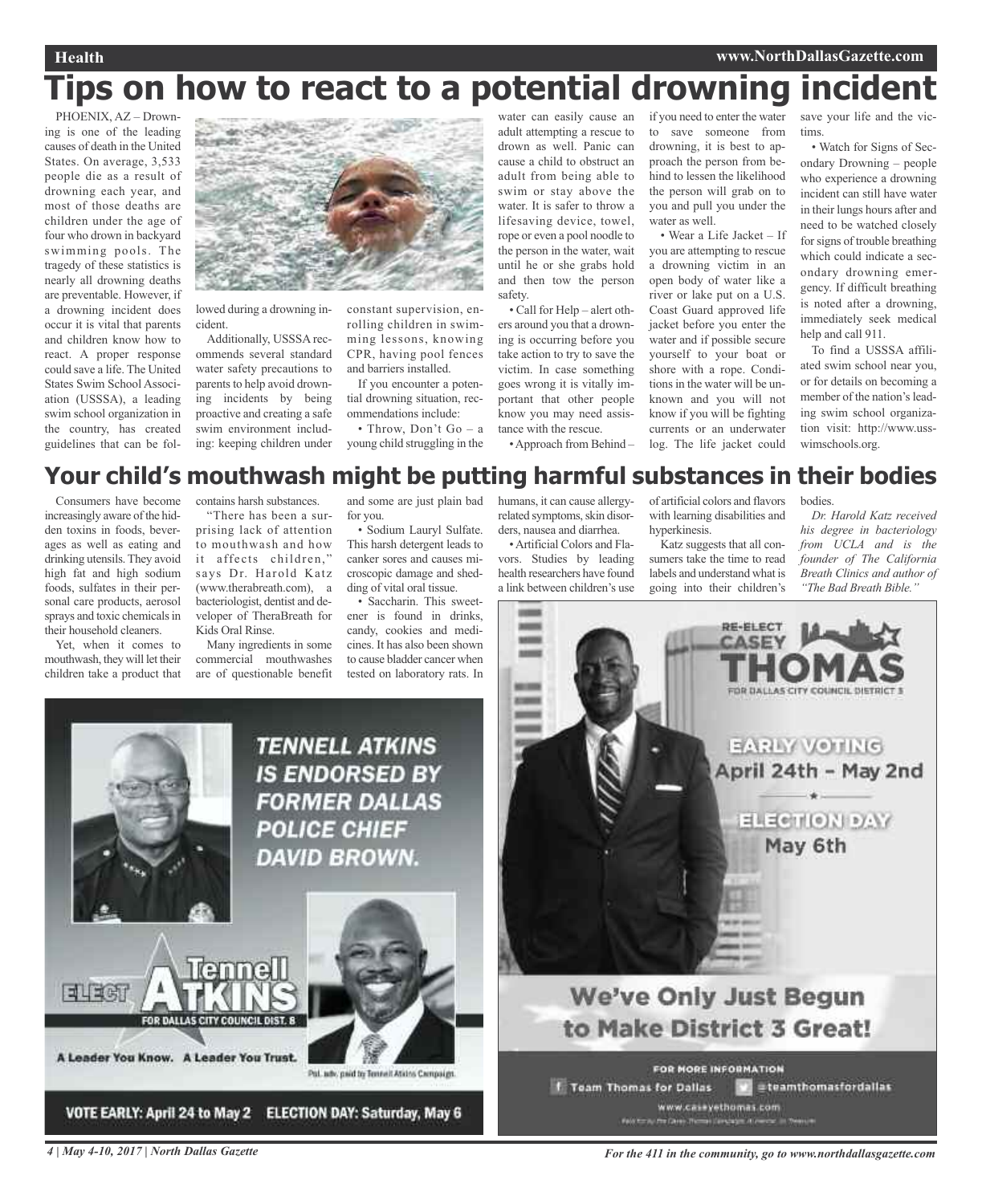## **Tips on how to react to a potential drowning incident**

PHOENIX, AZ – Drowning is one of the leading causes of death in the United States. On average, 3,533 people die as a result of drowning each year, and most of those deaths are children under the age of four who drown in backyard swimming pools. The tragedy of these statistics is nearly all drowning deaths are preventable. However, if a drowning incident does occur it is vital that parents and children know how to react. A proper response could save a life. The United States Swim School Association (USSSA), a leading swim school organization in the country, has created guidelines that can be fol-



lowed during a drowning incident.

Additionally, USSSA recommends several standard water safety precautions to parents to help avoid drowning incidents by being proactive and creating a safe swim environment including: keeping children under constant supervision, enrolling children in swimming lessons, knowing CPR, having pool fences and barriers installed.

If you encounter a potential drowning situation, recommendations include:

• Throw, Don't Go – a young child struggling in the

water can easily cause an adult attempting a rescue to drown as well. Panic can cause a child to obstruct an adult from being able to swim or stay above the water. It is safer to throw a lifesaving device, towel, rope or even a pool noodle to the person in the water, wait until he or she grabs hold and then tow the person safety.

• Call for Help – alert others around you that a drowning is occurring before you take action to try to save the victim. In case something goes wrong it is vitally important that other people know you may need assistance with the rescue.

•Approach from Behind –

if you need to enter the water to save someone from drowning, it is best to approach the person from behind to lessen the likelihood the person will grab on to you and pull you under the water as well.

• Wear a Life Jacket – If you are attempting to rescue a drowning victim in an open body of water like a river or lake put on a U.S. Coast Guard approved life jacket before you enter the water and if possible secure yourself to your boat or shore with a rope. Conditions in the water will be unknown and you will not know if you will be fighting currents or an underwater log. The life jacket could

save your life and the victims.

• Watch for Signs of Secondary Drowning – people who experience a drowning incident can still have water in their lungs hours after and need to be watched closely for signs of trouble breathing which could indicate a secondary drowning emergency. If difficult breathing is noted after a drowning, immediately seek medical help and call 911.

To find a USSSA affiliated swim school near you, or for details on becoming a member of the nation's leading swim school organization visit: http://www.usswimschools.org.

### **Your child's mouthwash might be putting harmful substances in their bodies**

Consumers have become increasingly aware of the hidden toxins in foods, beverages as well as eating and drinking utensils. They avoid high fat and high sodium foods, sulfates in their personal care products, aerosol sprays and toxic chemicals in their household cleaners.

Yet, when it comes to mouthwash, they will let their children take a product that

contains harsh substances. "There has been a sur-

prising lack of attention to mouthwash and how it affects children," says Dr. Harold Katz (www.therabreath.com), a bacteriologist, dentist and developer of TheraBreath for Kids Oral Rinse.

Many ingredients in some commercial mouthwashes are of questionable benefit

and some are just plain bad for you.

• Sodium Lauryl Sulfate. This harsh detergent leads to canker sores and causes microscopic damage and shedding of vital oral tissue.

• Saccharin. This sweetener is found in drinks, candy, cookies and medicines. It has also been shown to cause bladder cancer when tested on laboratory rats. In

**TENNELL ATKINS** 

**IS ENDORSED BY** 

**FORMER DALLAS** 

**POLICE CHIEF** 

DAVID BROWN.

Pal. adv. paid to Tennelt Ations Campaigs

humans, it can cause allergyrelated symptoms, skin disorders, nausea and diarrhea.

•Artificial Colors and Flavors. Studies by leading health researchers have found a link between children's use

of artificial colors and flavors with learning disabilities and hyperkinesis.

Katz suggests that all consumers take the time to read labels and understand what is going into their children's

bodies.

*Dr. Harold Katz received his degree in bacteriology from UCLA and is the founder of The California Breath Clinics and author of "The Bad Breath Bible."*





FOR DALLAS CITY COUNCIL DIST. 8

VOTE EARLY: April 24 to May 2 ELECTION DAY: Saturday, May 6

A Leader You Know. A Leader You Trust.

ने । मला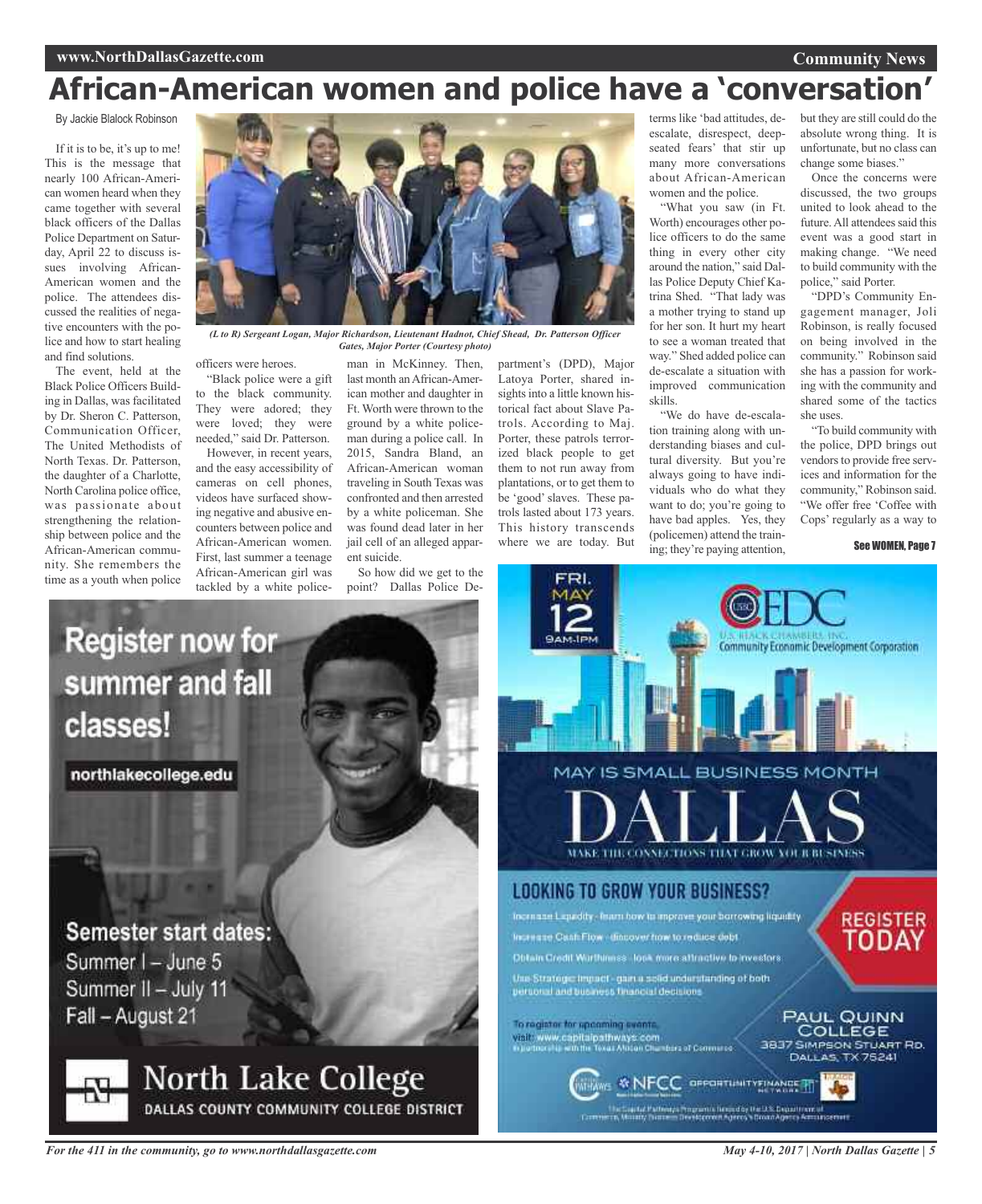### **Community News**

## **African-American women and police have a 'conversation'**

By Jackie Blalock Robinson

If it is to be, it's up to me! This is the message that nearly 100 African-American women heard when they came together with several black officers of the Dallas Police Department on Saturday, April 22 to discuss issues involving African-American women and the police. The attendees discussed the realities of negative encounters with the police and how to start healing and find solutions.

The event, held at the Black Police Officers Building in Dallas, was facilitated by Dr. Sheron C. Patterson, Communication Officer, The United Methodists of North Texas. Dr. Patterson, the daughter of a Charlotte, North Carolina police office, was passionate about strengthening the relationship between police and the African-American community. She remembers the time as a youth when police



*(L to R) Sergeant Logan, Major Richardson, Lieutenant Hadnot, Chief Shead, Dr. Patterson Officer Gates, Major Porter (Courtesy photo)*

officers were heroes.

"Black police were a gift to the black community. They were adored; they were loved; they were needed," said Dr. Patterson.

However, in recent years, and the easy accessibility of cameras on cell phones, videos have surfaced showing negative and abusive encounters between police and African-American women. First, last summer a teenage African-American girl was tackled by a white police-

man in McKinney. Then, last month an African-American mother and daughter in Ft. Worth were thrown to the ground by a white policeman during a police call. In 2015, Sandra Bland, an African-American woman traveling in South Texas was confronted and then arrested by a white policeman. She was found dead later in her jail cell of an alleged apparent suicide.

So how did we get to the point? Dallas Police Department's (DPD), Major Latoya Porter, shared insights into a little known historical fact about Slave Patrols. According to Maj. Porter, these patrols terrorized black people to get them to not run away from plantations, or to get them to be 'good'slaves. These patrols lasted about 173 years. This history transcends where we are today. But terms like 'bad attitudes, deescalate, disrespect, deepseated fears' that stir up many more conversations about African-American women and the police.

"What you saw (in Ft. Worth) encourages other police officers to do the same thing in every other city around the nation," said Dallas Police Deputy Chief Katrina Shed. "That lady was a mother trying to stand up for her son. It hurt my heart to see a woman treated that way." Shed added police can de-escalate a situation with improved communication skills.

"We do have de-escalation training along with understanding biases and cultural diversity. But you're always going to have individuals who do what they want to do; you're going to have bad apples. Yes, they (policemen) attend the training; they're paying attention,

but they are still could do the absolute wrong thing. It is unfortunate, but no class can change some biases."

Once the concerns were discussed, the two groups united to look ahead to the future. All attendees said this event was a good start in making change. "We need to build community with the police," said Porter.

"DPD's Community Engagement manager, Joli Robinson, is really focused on being involved in the community." Robinson said she has a passion for working with the community and shared some of the tactics she uses.

"To build community with the police, DPD brings out vendors to provide free services and information for the community," Robinson said. "We offer free 'Coffee with Cops' regularly as a way to

See WOMEN, Page 7



WITAWS & NFCC OFFICIALITY FINANCE TT

Unit auto Pattentia Programa limitato (ta US Department al ...)<br>Commerce, Mussity Bussels Developmen Agents Vocan Agents Armangement

# **Register now for** summer and fall classes!

northlakecollege.edu

### **Semester start dates:**

Summer I - June 5 Summer II - July 11 Fall - August 21

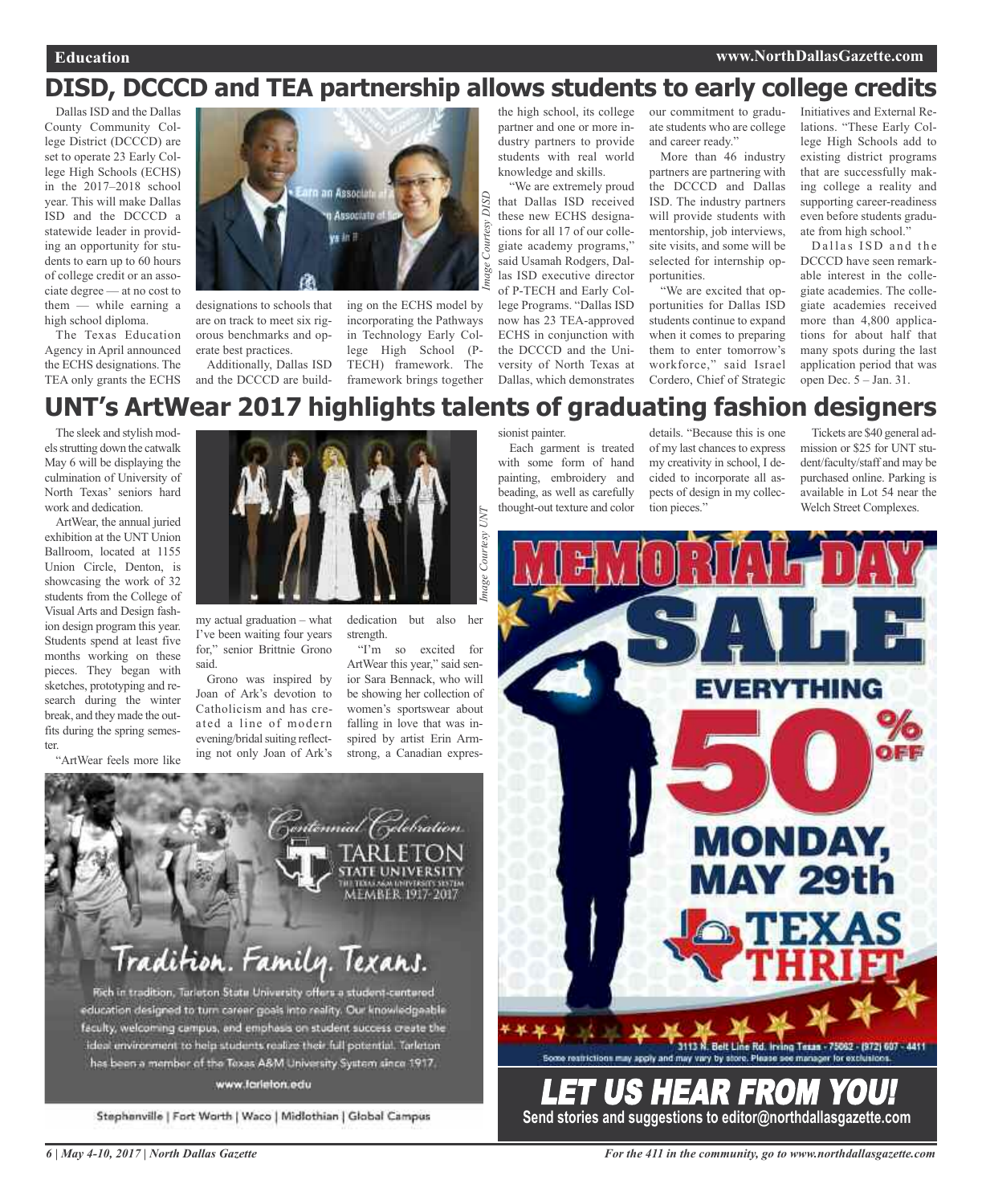## **DISD, DCCCD and TEA partnership allows students to early college credits**

Dallas ISD and the Dallas County Community College District (DCCCD) are set to operate 23 Early College High Schools (ECHS) in the 2017–2018 school year. This will make Dallas ISD and the DCCCD a statewide leader in providing an opportunity for students to earn up to 60 hours of college credit or an associate degree — at no cost to them — while earning a high school diploma.

The Texas Education Agency in April announced the ECHS designations. The TEA only grants the ECHS



designations to schools that are on track to meet six rigorous benchmarks and operate best practices.

Additionally, Dallas ISD and the DCCCD are building on the ECHS model by incorporating the Pathways in Technology Early College High School (P-TECH) framework. The framework brings together

the high school, its college partner and one or more industry partners to provide students with real world knowledge and skills.

"We are extremely proud that Dallas ISD received these new ECHS designations for all 17 of our collegiate academy programs," said Usamah Rodgers, Dallas ISD executive director of P-TECH and Early College Programs. "Dallas ISD now has 23 TEA-approved ECHS in conjunction with the DCCCD and the University of North Texas at Dallas, which demonstrates our commitment to graduate students who are college and career ready."

More than 46 industry partners are partnering with the DCCCD and Dallas ISD. The industry partners will provide students with mentorship, job interviews, site visits, and some will be selected for internship opportunities.

"We are excited that opportunities for Dallas ISD students continue to expand when it comes to preparing them to enter tomorrow's workforce," said Israel Cordero, Chief of Strategic Initiatives and External Relations. "These Early College High Schools add to existing district programs that are successfully making college a reality and supporting career-readiness even before students graduate from high school."

Dallas ISD and the DCCCD have seen remarkable interest in the collegiate academies. The collegiate academies received more than 4,800 applications for about half that many spots during the last application period that was open Dec. 5 – Jan. 31.

## **UNT's ArtWear 2017 highlights talents of graduating fashion designers**

*Image Courtesy*

*DISD*

The sleek and stylish models strutting down the catwalk May 6 will be displaying the culmination of University of North Texas' seniors hard work and dedication.

ArtWear, the annual juried exhibition at the UNT Union Ballroom, located at 1155 Union Circle, Denton, is showcasing the work of 32 students from the College of Visual Arts and Design fashion design program this year. Students spend at least five months working on these pieces. They began with sketches, prototyping and research during the winter break, and they made the outfits during the spring semester.

"ArtWear feels more like



my actual graduation – what I've been waiting four years for," senior Brittnie Grono said.

Grono was inspired by Joan of Ark's devotion to Catholicism and has created a line of modern evening/bridal suiting reflecting not only Joan of Ark's

dedication but also her strength.

"I'm so excited for ArtWear this year," said senior Sara Bennack, who will be showing her collection of women's sportswear about falling in love that was inspired by artist Erin Armstrong, a Canadian expressionist painter.

Each garment is treated with some form of hand painting, embroidery and beading, as well as carefully thought-out texture and color

details. "Because this is one of my last chances to express my creativity in school, I decided to incorporate all aspects of design in my collection pieces."

Tickets are \$40 general admission or \$25 for UNT student/faculty/staff and may be purchased online. Parking is available in Lot 54 near the Welch Street Complexes.





### www.farieton.edu

Stephenville | Fort Worth | Waco | Midlothian | Global Campus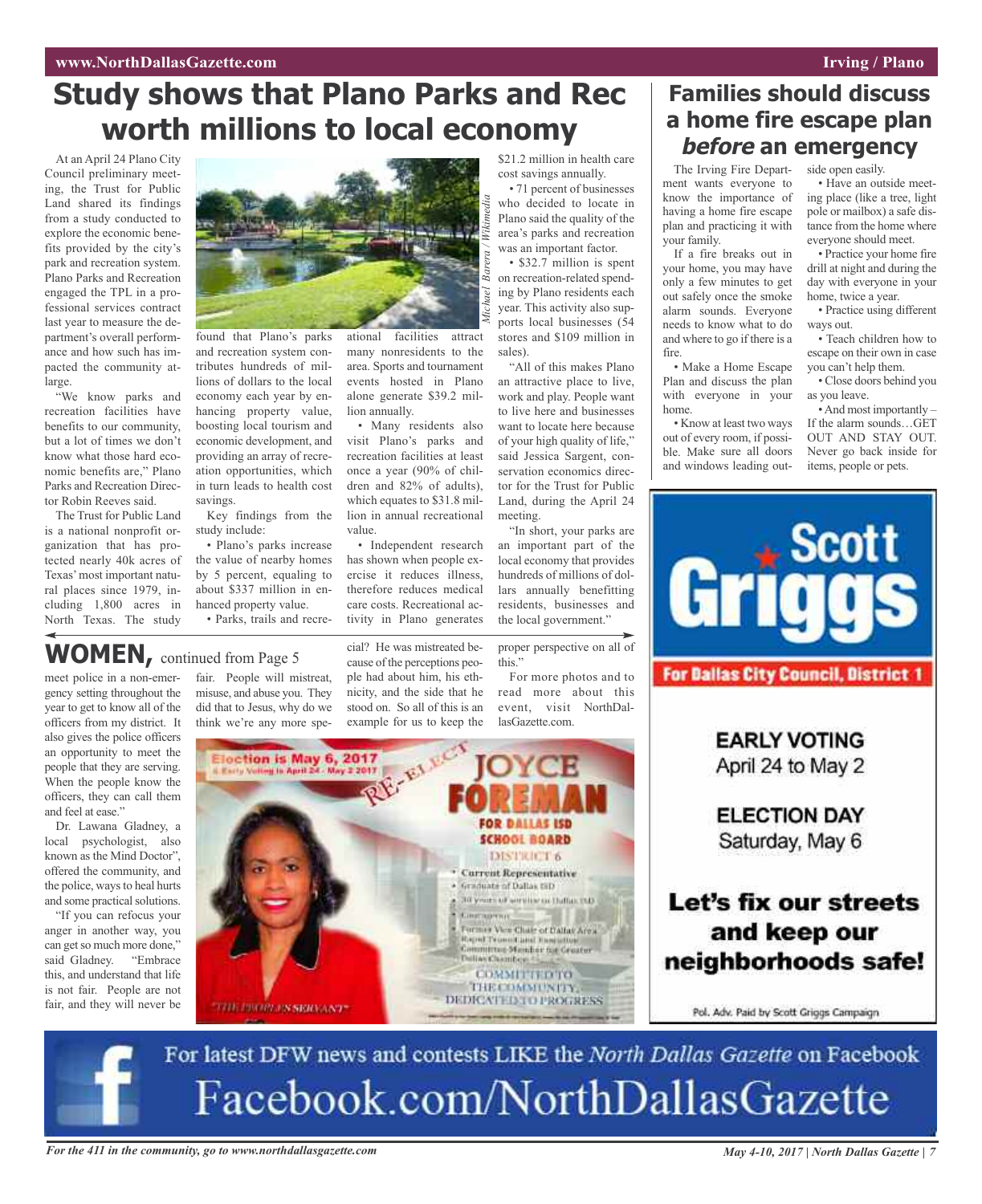## **Study shows that Plano Parks and Rec worth millions to local economy**

At an April 24 Plano City Council preliminary meeting, the Trust for Public Land shared its findings from a study conducted to explore the economic benefits provided by the city's park and recreation system. Plano Parks and Recreation engaged the TPL in a professional services contract last year to measure the department's overall performance and how such has impacted the community atlarge.

"We know parks and recreation facilities have benefits to our community, but a lot of times we don't know what those hard economic benefits are," Plano Parks and Recreation Director Robin Reeves said.

The Trust for Public Land is a national nonprofit organization that has protected nearly 40k acres of Texas'most important natural places since 1979, including 1,800 acres in North Texas. The study

meet police in a non-emergency setting throughout the year to get to know all of the officers from my district. It also gives the police officers an opportunity to meet the people that they are serving. When the people know the officers, they can call them

**WOMEN,** continued from Page <sup>5</sup>

Dr. Lawana Gladney, a local psychologist, also known as the Mind Doctor", offered the community, and the police, ways to heal hurts and some practical solutions. "If you can refocus your anger in another way, you can get so much more done,"

and feel at ease."



found that Plano's parks and recreation system contributes hundreds of millions of dollars to the local economy each year by enhancing property value, boosting local tourism and economic development, and providing an array of recreation opportunities, which in turn leads to health cost savings.

Key findings from the study include:

• Plano's parks increase the value of nearby homes by 5 percent, equaling to about \$337 million in enhanced property value. • Parks, trails and recre-

fair. People will mistreat, misuse, and abuse you. They did that to Jesus, why do we

ational facilities attract many nonresidents to the area. Sports and tournament events hosted in Plano alone generate \$39.2 million annually. *Michael Barera / Wikimedia*

• Many residents also visit Plano's parks and recreation facilities at least once a year (90% of children and 82% of adults), which equates to \$31.8 million in annual recreational value.

• Independent research has shown when people exercise it reduces illness, therefore reduces medical care costs. Recreational activity in Plano generates

cial? He was mistreated because of the perceptions people had about him, his ethnicity, and the side that he stood on. So all of this is an

\$21.2 million in health care cost savings annually.

• 71 percent of businesses who decided to locate in Plano said the quality of the area's parks and recreation was an important factor.

• \$32.7 million is spent on recreation-related spending by Plano residents each year. This activity also supports local businesses (54 stores and \$109 million in sales).

"All of this makes Plano an attractive place to live, work and play. People want to live here and businesses want to locate here because of your high quality of life," said Jessica Sargent, conservation economics director for the Trust for Public Land, during the April 24 meeting.

"In short, your parks are an important part of the local economy that provides hundreds of millions of dollars annually benefitting residents, businesses and the local government."

proper perspective on all of this."

For more photos and to read more about this event, visit NorthDallasGazette.com.



## **Families should discuss a home fire escape plan before an emergency**

The Irving Fire Department wants everyone to know the importance of having <sup>a</sup> home fire escape plan and practicing it with your family.

If <sup>a</sup> fire breaks out in your home, you may have only <sup>a</sup> few minutes to ge<sup>t</sup> out safely once the smoke alarm sounds. Everyone needs to know what to do and where to go if there is <sup>a</sup> fire.

• Make <sup>a</sup> Home Escape Plan and discuss the plan with everyone in your home.

• Know at least two ways out of every room, if possible. Make sure all doors and windows leading out-

side open easily. • Have an outside meeting place (like <sup>a</sup> tree, light pole or mailbox) <sup>a</sup> safe distance from the home where everyone should meet.

• Practice your home fire drill at night and during the day with everyone in your home, twice <sup>a</sup> year.

• Practice using different ways out.

• Teach children how to escape on their own in case you can't help them.

• Close doors behind you as you leave.

•And most importantly – If the alarm sounds…GET OUT AND STAY OUT. Never go back inside for items, people or pets.



#### said Gladney. "Embrace this, and understand that life THE COMMUNITY, is not fair. People are not **DEDICATED TO PROGRESS** fair, and they will never be **START INVERTISES BRICKANDS**

For latest DFW news and contests LIKE the North Dallas Gazette on Facebook Facebook.com/NorthDallasGazette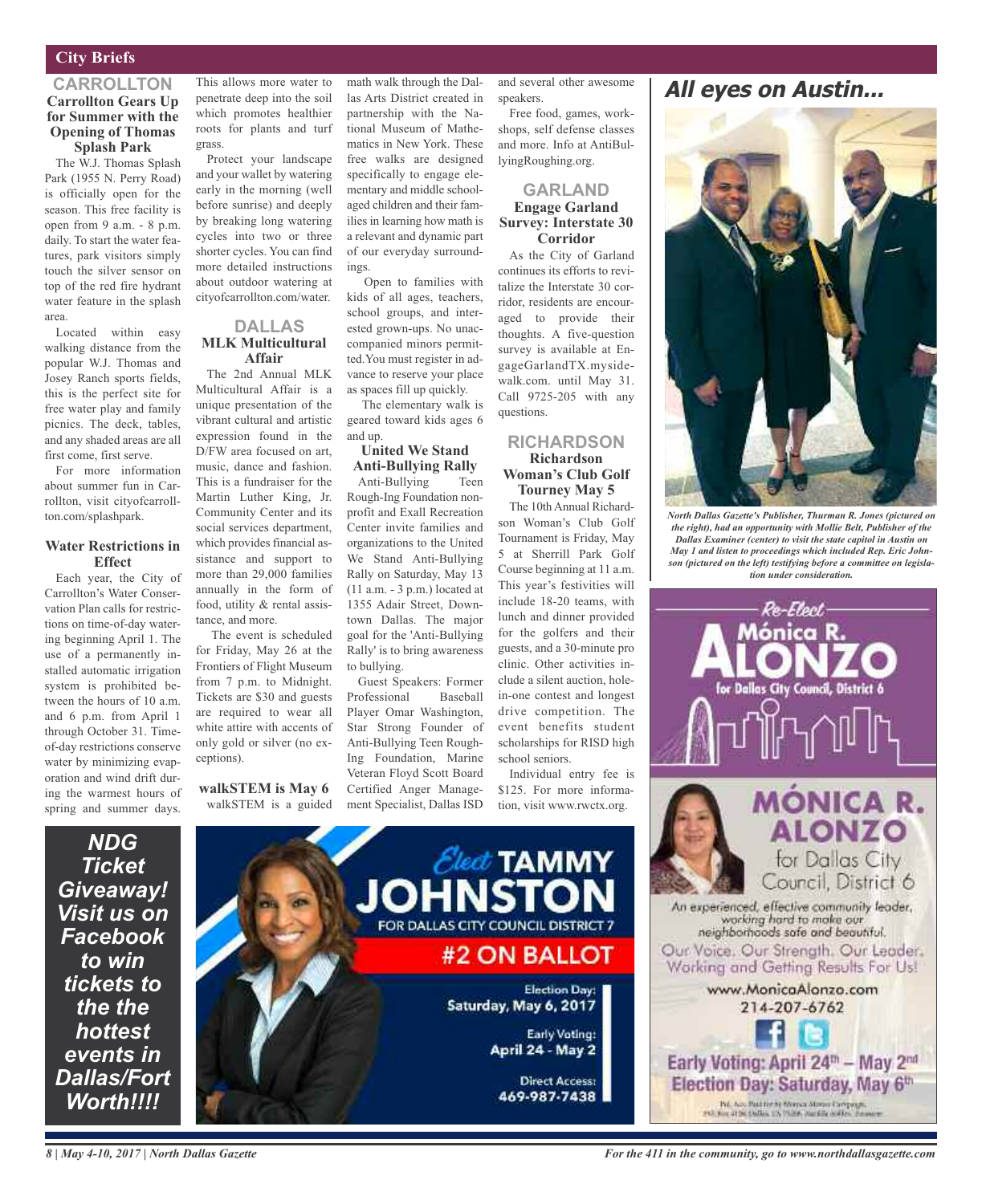### **City Briefs**

### **CARROLLTON Carrollton Gears Up for Summer with the Opening of Thomas Splash Park**

The W.J. Thomas Splash Park (1955 N. Perry Road) is officially open for the season. This free facility is open from 9 a.m. - 8 p.m. daily. To start the water features, park visitors simply touch the silver sensor on top of the red fire hydrant water feature in the splash area.

Located within easy walking distance from the popular W.J. Thomas and Josey Ranch sports fields, this is the perfect site for free water play and family picnics. The deck, tables, and any shaded areas are all first come, first serve.

For more information about summer fun in Carrollton, visit cityofcarrollton.com/splashpark.

### **Water Restrictions in Effect**

Each year, the City of Carrollton's Water Conservation Plan calls for restrictions on time-of-day watering beginning April 1. The use of a permanently installed automatic irrigation system is prohibited between the hours of 10 a.m. and 6 p.m. from April 1 through October 31. Timeof-day restrictions conserve water by minimizing evaporation and wind drift during the warmest hours of spring and summer days.

> *NDG Ticket*

*to win tickets to the the hottest events in*

*Worth!!!!*

This allows more water to penetrate deep into the soil which promotes healthier roots for plants and turf grass.

Protect your landscape and your wallet by watering early in the morning (well before sunrise) and deeply by breaking long watering cycles into two or three shorter cycles. You can find more detailed instructions about outdoor watering at cityofcarrollton.com/water.

### **DALLAS MLK Multicultural Affair**

The 2nd Annual MLK Multicultural Affair is a unique presentation of the vibrant cultural and artistic expression found in the D/FW area focused on art, music, dance and fashion. This is a fundraiser for the Martin Luther King, Jr. Community Center and its social services department, which provides financial assistance and support to more than 29,000 families annually in the form of food, utility & rental assistance, and more.

The event is scheduled for Friday, May 26 at the Frontiers of Flight Museum from 7 p.m. to Midnight. Tickets are \$30 and guests are required to wear all white attire with accents of only gold or silver (no exceptions).

### **walkSTEM is May 6** walkSTEM is a guided

math walk through the Dallas Arts District created in partnership with the National Museum of Mathematics in New York. These free walks are designed specifically to engage elementary and middle schoolaged children and their families in learning how math is a relevant and dynamic part of our everyday surroundings.

Open to families with kids of all ages, teachers, school groups, and interested grown-ups. No unaccompanied minors permitted.You must register in advance to reserve your place as spaces fill up quickly.

The elementary walk is geared toward kids ages 6 and up.

### **United We Stand Anti-Bullying Rally**

Anti-Bullying Teen Rough-Ing Foundation nonprofit and Exall Recreation Center invite families and organizations to the United We Stand Anti-Bullying Rally on Saturday, May 13 (11 a.m. - 3 p.m.) located at 1355 Adair Street, Downtown Dallas. The major goal for the 'Anti-Bullying Rally' is to bring awareness to bullying.

Guest Speakers: Former Professional Baseball Player Omar Washington, Star Strong Founder of Anti-Bullying Teen Rough-Ing Foundation, Marine Veteran Floyd Scott Board Certified Anger Management Specialist, Dallas ISD

and several other awesome speakers.

Free food, games, workshops, self defense classes and more. Info at AntiBullyingRoughing.org.

### **GARLAND Engage Garland Survey: Interstate 30 Corridor**

As the City of Garland continues its efforts to revitalize the Interstate 30 corridor, residents are encouraged to provide their thoughts. A five-question survey is available at EngageGarlandTX.mysidewalk.com. until May 31. Call 9725-205 with any questions.

### **RICHARDSON Richardson Woman's Club Golf Tourney May 5**

The 10thAnnual Richardson Woman's Club Golf Tournament is Friday, May 5 at Sherrill Park Golf Course beginning at 11 a.m. This year's festivities will include 18-20 teams, with lunch and dinner provided for the golfers and their guests, and a 30-minute pro clinic. Other activities include a silent auction, holein-one contest and longest drive competition. The event benefits student scholarships for RISD high school seniors.

Individual entry fee is \$125. For more information, visit www.rwctx.org.



### **All eyes on Austin...**



*North Dallas Gazette's Publisher, Thurman R. Jones (pictured on the right), had an opportunity with Mollie Belt, Publisher of the Dallas Examiner (center) to visit the state capitol in Austin on May 1 and listen to proceedings which included Rep. Eric Johnson (pictured on the left) testifying before a committee on legislation under consideration.*



*8 | May 4-10, 2017 | North Dallas Gazette*

*For the 411 in the community, go to www.northdallasgazette.com*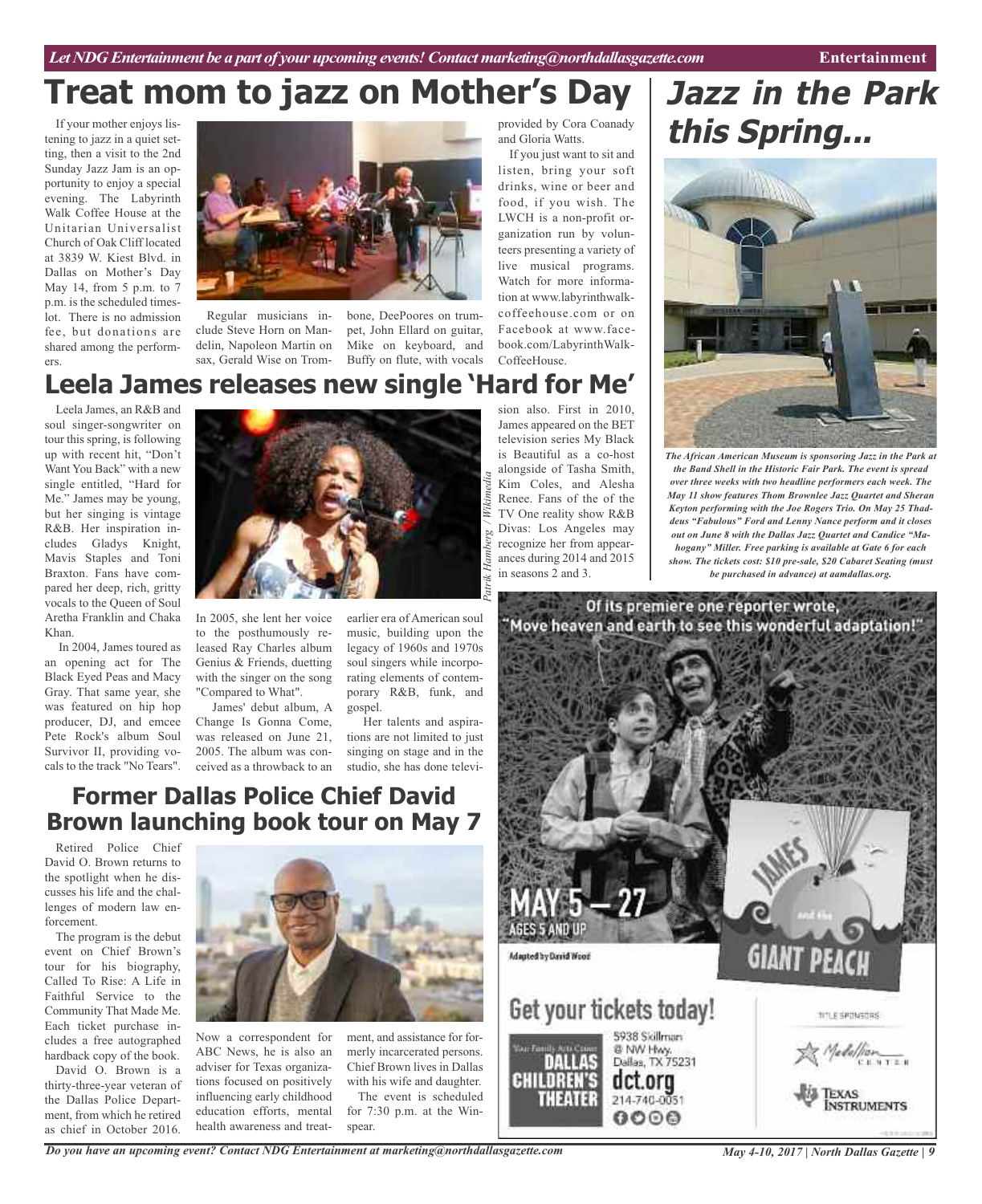If your mother enjoys listening to jazz in a quiet setting, then a visit to the 2nd Sunday Jazz Jam is an opportunity to enjoy a special evening. The Labyrinth Walk Coffee House at the Unitarian Universalist Church of Oak Cliff located at 3839 W. Kiest Blvd. in Dallas on Mother's Day May 14, from 5 p.m. to 7 p.m. is the scheduled timeslot. There is no admission fee, but donations are shared among the performers.



Regular musicians include Steve Horn on Mandelin, Napoleon Martin on sax, Gerald Wise on Trom-

bone, DeePoores on trumpet, John Ellard on guitar, Mike on keyboard, and Buffy on flute, with vocals

## **Leela James releases new single 'Hard for Me'**

Leela James, an R&B and soul singer-songwriter on tour this spring, is following up with recent hit, "Don't Want You Back" with a new single entitled, "Hard for Me." James may be young, but her singing is vintage R&B. Her inspiration includes Gladys Knight, Mavis Staples and Toni Braxton. Fans have compared her deep, rich, gritty vocals to the Queen of Soul Aretha Franklin and Chaka Khan.

In 2004, James toured as an opening act for The Black Eyed Peas and Macy Gray. That same year, she was featured on hip hop producer, DJ, and emcee Pete Rock's album Soul Survivor II, providing vocals to the track "No Tears".



In 2005, she lent her voice to the posthumously released Ray Charles album Genius & Friends, duetting with the singer on the song "Compared to What".

James' debut album, A Change Is Gonna Come, was released on June 21, 2005. The album was conceived as a throwback to an

earlier era of American soul music, building upon the legacy of 1960s and 1970s soul singers while incorporating elements of contemporary R&B, funk, and gospel.

Her talents and aspirations are not limited to just singing on stage and in the studio, she has done televi-

### **Former Dallas Police Chief David Brown launching book tour on May 7**

Retired Police Chief David O. Brown returns to the spotlight when he discusses his life and the challenges of modern law enforcement.

The program is the debut event on Chief Brown's tour for his biography, Called To Rise: A Life in Faithful Service to the Community That Made Me. Each ticket purchase includes a free autographed hardback copy of the book.

David O. Brown is a thirty-three-year veteran of the Dallas Police Department, from which he retired as chief in October 2016.



spear.

Now a correspondent for ABC News, he is also an adviser for Texas organizations focused on positively influencing early childhood education efforts, mental health awareness and treatment, and assistance for formerly incarcerated persons. Chief Brown lives in Dallas with his wife and daughter. The event is scheduled for 7:30 p.m. at the Winprovided by Cora Coanady and Gloria Watts.

If you just want to sit and listen, bring your soft drinks, wine or beer and food, if you wish. The LWCH is a non-profit organization run by volunteers presenting a variety of live musical programs. Watch for more information at www.labyrinthwalkcoffeehouse.com or on Facebook at www.facebook.com/LabyrinthWalk-CoffeeHouse.

sion also. First in 2010, James appeared on the BET television series My Black is Beautiful as a co-host alongside of Tasha Smith, Kim Coles, and Alesha Renee. Fans of the of the TV One reality show R&B Divas: Los Angeles may recognize her from appearances during 2014 and 2015 in seasons 2 and 3.

## **Jazz in the Park this Spring...**



*The African American Museum is sponsoring Jazz in the Park at the Band Shell in the Historic Fair Park. The event is spread over three weeks with two headline performers each week. The May 11 show features Thom Brownlee Jazz Quartet and Sheran Keyton performing with the Joe Rogers Trio. On May 25 Thaddeus "Fabulous" Ford and Lenny Nance perform and it closes out on June 8 with the Dallas Jazz Quartet and Candice "Mahogany" Miller. Free parking is available at Gate 6 for each show. The tickets cost: \$10 pre-sale, \$20 Cabaret Seating (must be purchased in advance) at aamdallas.org.*



*Do you have an upcoming event? Contact NDG Entertainment at marketing@northdallasgazette.com*

*May 4-10, 2017 | North Dallas Gazette | 9*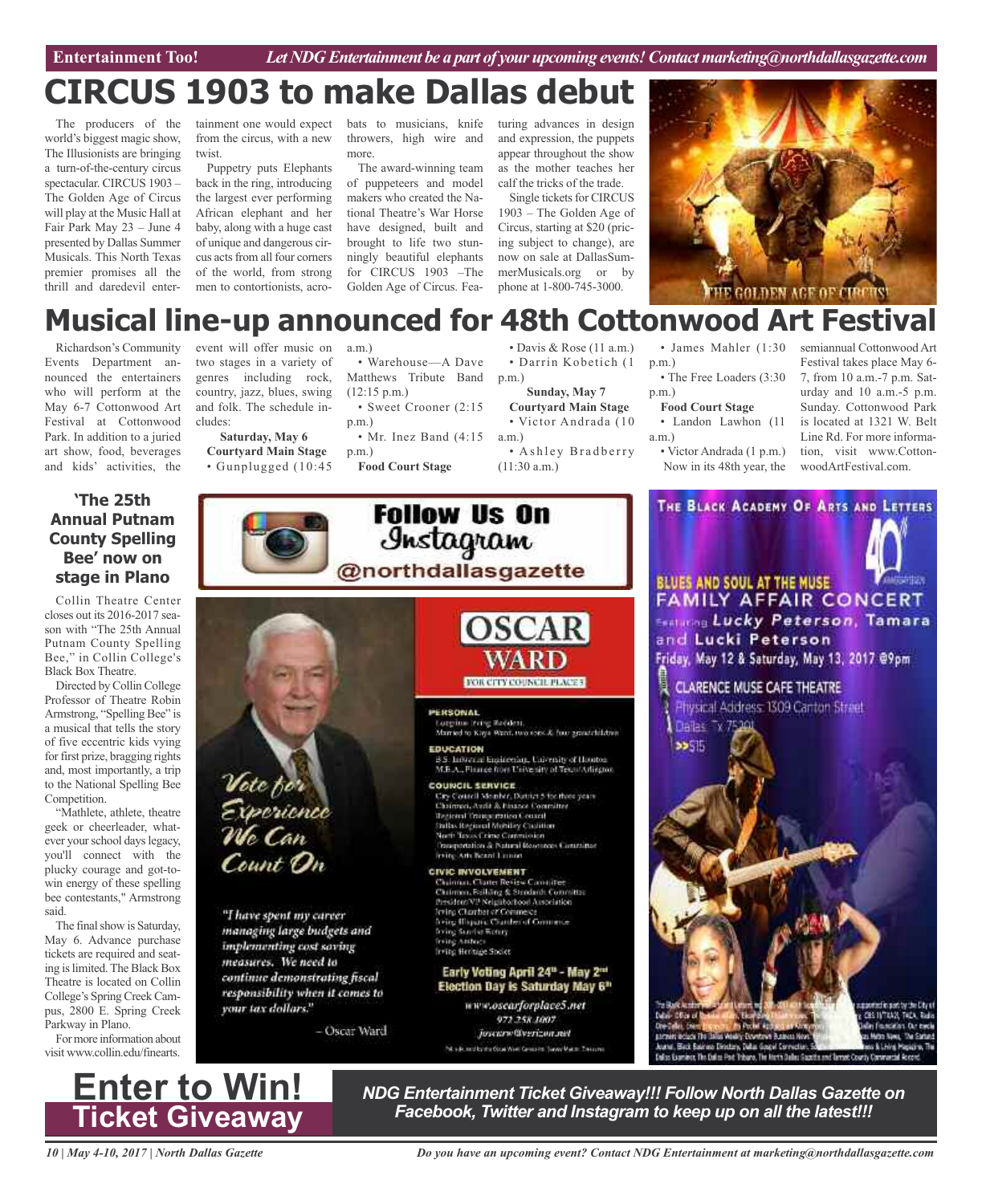**Car Review Entertainment Too!** *Let NDG Entertainment be a part of your upcoming events!Contactmarketing@northdallasgazette.com*

## **CIRCUS 1903 to make Dallas debut**

The producers of the world's biggest magic show, The Illusionists are bringing a turn-of-the-century circus spectacular. CIRCUS 1903 – The Golden Age of Circus will play at the Music Hall at Fair Park May 23 – June 4 presented by Dallas Summer Musicals. This North Texas premier promises all the thrill and daredevil entertainment one would expect from the circus, with a new twist

Puppetry puts Elephants back in the ring, introducing the largest ever performing African elephant and her baby, along with a huge cast of unique and dangerous circus acts from all four corners of the world, from strong men to contortionists, acro-

bats to musicians, knife throwers, high wire and more.

The award-winning team of puppeteers and model makers who created the National Theatre's War Horse have designed, built and brought to life two stunningly beautiful elephants for CIRCUS 1903 –The Golden Age of Circus. Featuring advances in design and expression, the puppets appear throughout the show as the mother teaches her calf the tricks of the trade.

Single tickets for CIRCUS 1903 – The Golden Age of Circus, starting at \$20 (pricing subject to change), are now on sale at DallasSummerMusicals.org or by phone at 1-800-745-3000.



## **Musical line-up announced for 48th Cottonwood Art Festival**

Richardson's Community Events Department announced the entertainers who will perform at the May 6-7 Cottonwood Art Festival at Cottonwood Park. In addition to a juried art show, food, beverages and kids' activities, the

### **'The 25th Annual Putnam County Spelling Bee' now on stage in Plano**

Collin Theatre Center closes out its 2016-2017 season with "The 25th Annual Putnam County Spelling Bee," in Collin College's Black Box Theatre.

Directed by Collin College Professor of Theatre Robin Armstrong, "Spelling Bee" is a musical that tells the story of five eccentric kids vying for first prize, bragging rights and, most importantly, a trip to the National Spelling Bee Competition.

"Mathlete, athlete, theatre geek or cheerleader, whatever your school days legacy, you'll connect with the plucky courage and got-towin energy of these spelling bee contestants," Armstrong said.

The final show is Saturday, May 6. Advance purchase tickets are required and seating islimited.The Black Box Theatre is located on Collin College's Spring Creek Campus, 2800 E. Spring Creek Parkway in Plano.

For more information about visit www.collin.edu/finearts.



**Saturday, May 6 Courtyard Main Stage** • Gunplugged (10:45

Vote for<br>Experience<br>We Can

Count On

"I have spent my career

managing large budgets and

continue demonstrating fiscal responsibility when it comes to

- Oscar Ward

implementing cost soving

measures. We need to

your tax dollars."

a.m.)

• Warehouse—A Dave Matthews Tribute Band (12:15 p.m.)

• Sweet Crooner (2:15 p.m.)

• Mr. Inez Band (4:15) p.m.)

Follow Us On

Instagram

@northdallasgazette

PERSONAL

**EDUCATION** 

**Food Court Stage**

• Davis & Rose (11 a.m.) • Darrin Kobetich (1 p.m.)

**Sunday, May 7 Courtyard Main Stage** • Victor Andrada (10

a.m.) • Ashley Bradberry (11:30 a.m.)

• James Mahler (1:30 p.m.)

• The Free Loaders (3:30) p.m.)

### **Food Court Stage**

• Landon Lawhon (11 a.m.)

• Victor Andrada (1 p.m.) Now in its 48th year, the semiannual Cottonwood Art Festival takes place May 6- 7, from 10 a.m.-7 p.m. Saturday and 10 a.m.-5 p.m. Sunday. Cottonwood Park is located at 1321 W. Belt Line Rd. For more information, visit www.CottonwoodArtFestival.com.

# THE BLACK ACADEMY OF ARTS AND LETTERS

BLUES AND SOUL AT THE MUSE

Lurgina Fring Redden.<br>Markel to Kaya Want, two tops & four grand bildren

8 S. Industrie<br>8 S. Industrie Engineering, University of Houston<br>M.B.A., Finance from University of Texas/Adiagon

**OSCAR** 

**FOR CITY COUNCIL PLACES** 

COUNCIL SERVICE City Coutell Member, Datrict 5 for three years Chairmei, Avdit & Finance Committee **Tegioral Transportation Council Sullas Regional Mobiley Coolition**<br>North Texas Crime Commission Prospertation & Natural Researces Contrainer rving Arts Beard Linner

**CIVIC INVOLVEMENT** Chainnas, Chaner Review Cannities<br>Chairman, Folking & Steedards Committee President/VP Neighborhood Association<br>Trying Chartter of Commesce **Aring Illapane Chardes of Commerce**<br>Aring Sunder Wotoy freing Anthoca frring Heritage Studet

Early Voting April 24<sup>th</sup> - May 2<sup>th</sup><br>Election Day is Saturday May 6<sup>th</sup>

972.258.1007 Josentw@verizon.net PA silk mid by the Octa Weel Gregorits Survey Maker: Training



## **Enter to Win! Ticket Giveaway**

*NDG Entertainment Ticket Giveaway!!! Follow North Dallas Gazette on Facebook, Twitter and Instagram to keep up on all the latest!!!*

*10 | May 4-10, 2017 | North Dallas Gazette*

*Do you have an upcoming event? Contact NDG Entertainment at marketing@northdallasgazette.com*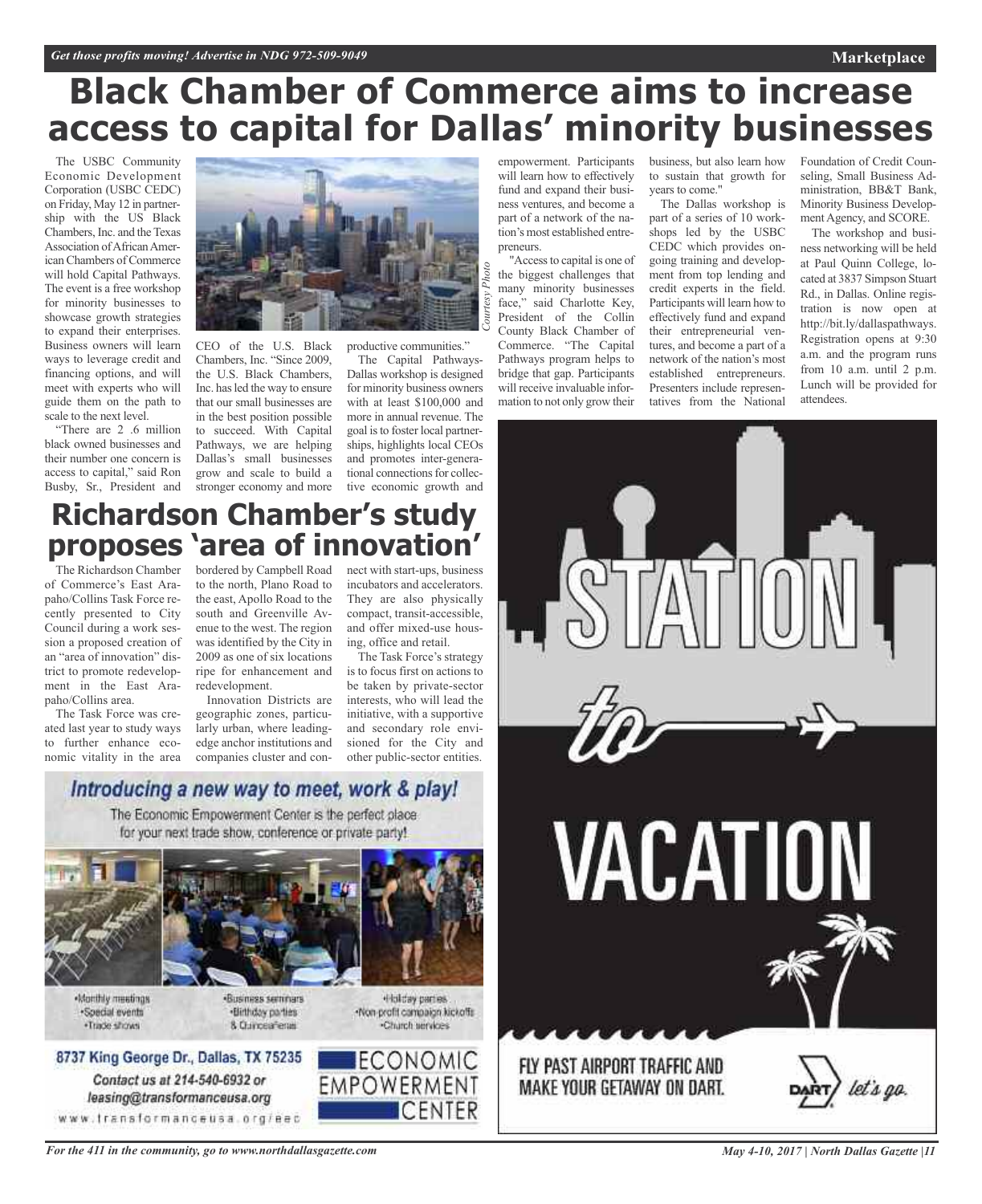## **Black Chamber of Commerce aims to increase access to capital for Dallas' minority businesses**

*Courtesy*

*Photo*

The USBC Community Economic Development Corporation (USBC CEDC) on Friday, May 12 in partnership with the US Black Chambers, Inc. and theTexas Association of African American Chambers of Commerce will hold Capital Pathways. The event is a free workshop for minority businesses to showcase growth strategies to expand their enterprises. Business owners will learn ways to leverage credit and financing options, and will meet with experts who will guide them on the path to scale to the next level.

"There are 2 .6 million black owned businesses and their number one concern is access to capital," said Ron Busby, Sr., President and



in the best position possible to succeed. With Capital Pathways, we are helping Dallas's small businesses grow and scale to build a stronger economy and more

The Capital Pathways-Dallas workshop is designed for minority business owners with at least \$100,000 and more in annual revenue. The goal isto foster local partnerships, highlights local CEOs and promotes inter-generational connections for collective economic growth and

empowerment. Participants will learn how to effectively fund and expand their business ventures, and become a part of a network of the nation's most established entrepreneurs.

"Accessto capital is one of the biggest challenges that many minority businesses face," said Charlotte Key, President of the Collin County Black Chamber of Commerce. "The Capital Pathways program helps to bridge that gap. Participants will receive invaluable information to not only grow their

business, but also learn how to sustain that growth for years to come."

The Dallas workshop is part of a series of 10 workshops led by the USBC CEDC which provides ongoing training and development from top lending and credit experts in the field. Participants will learn how to effectively fund and expand their entrepreneurial ventures, and become a part of a network of the nation's most established entrepreneurs. Presenters include representatives from the National

Foundation of Credit Counseling, Small Business Administration, BB&T Bank, Minority Business Development Agency, and SCORE.

**Marketplace**

The workshop and business networking will be held at Paul Quinn College, located at 3837 Simpson Stuart Rd., in Dallas. Online registration is now open at http://bit.ly/dallaspathways. Registration opens at 9:30 a.m. and the program runs from 10 a.m. until 2 p.m. Lunch will be provided for attendees.



## **Richardson Chamber's study proposes 'area of innovation'**

The Richardson Chamber of Commerce's East Arapaho/Collins Task Force recently presented to City Council during a work session a proposed creation of an "area of innovation" district to promote redevelopment in the East Arapaho/Collins area.

The Task Force was created last year to study ways to further enhance economic vitality in the area

bordered by Campbell Road to the north, Plano Road to the east, Apollo Road to the south and Greenville Avenue to the west. The region was identified by the City in 2009 as one of six locations ripe for enhancement and redevelopment.

Innovation Districts are geographic zones, particularly urban, where leadingedge anchor institutions and companies cluster and connect with start-ups, business incubators and accelerators. They are also physically compact, transit-accessible, and offer mixed-use housing, office and retail.

The Task Force's strategy is to focus first on actions to be taken by private-sector interests, who will lead the initiative, with a supportive and secondary role envisioned for the City and other public-sector entities.

### Introducing a new way to meet, work & play!

The Economic Empowerment Center is the perfect place for your next trade show, conference or private party!



-Monthly meetings ·Soedal events ·Trade shows

«Business seminars ·Birthday parties 8 Quinceaferas

+Holday parties Non-profit campaign kickoffs Charch services

**ECONOMIC** 

ICENTER

**EMPOWERMENT** 

8737 King George Dr., Dallas, TX 75235 Contact us at 214-540-6932 or

leasing@transformanceusa.org www.fransformanceusa.org/eec

*For the 411 in the community, go to www.northdallasgazette.com*

*May 4-10, 2017 | North Dallas Gazette |11*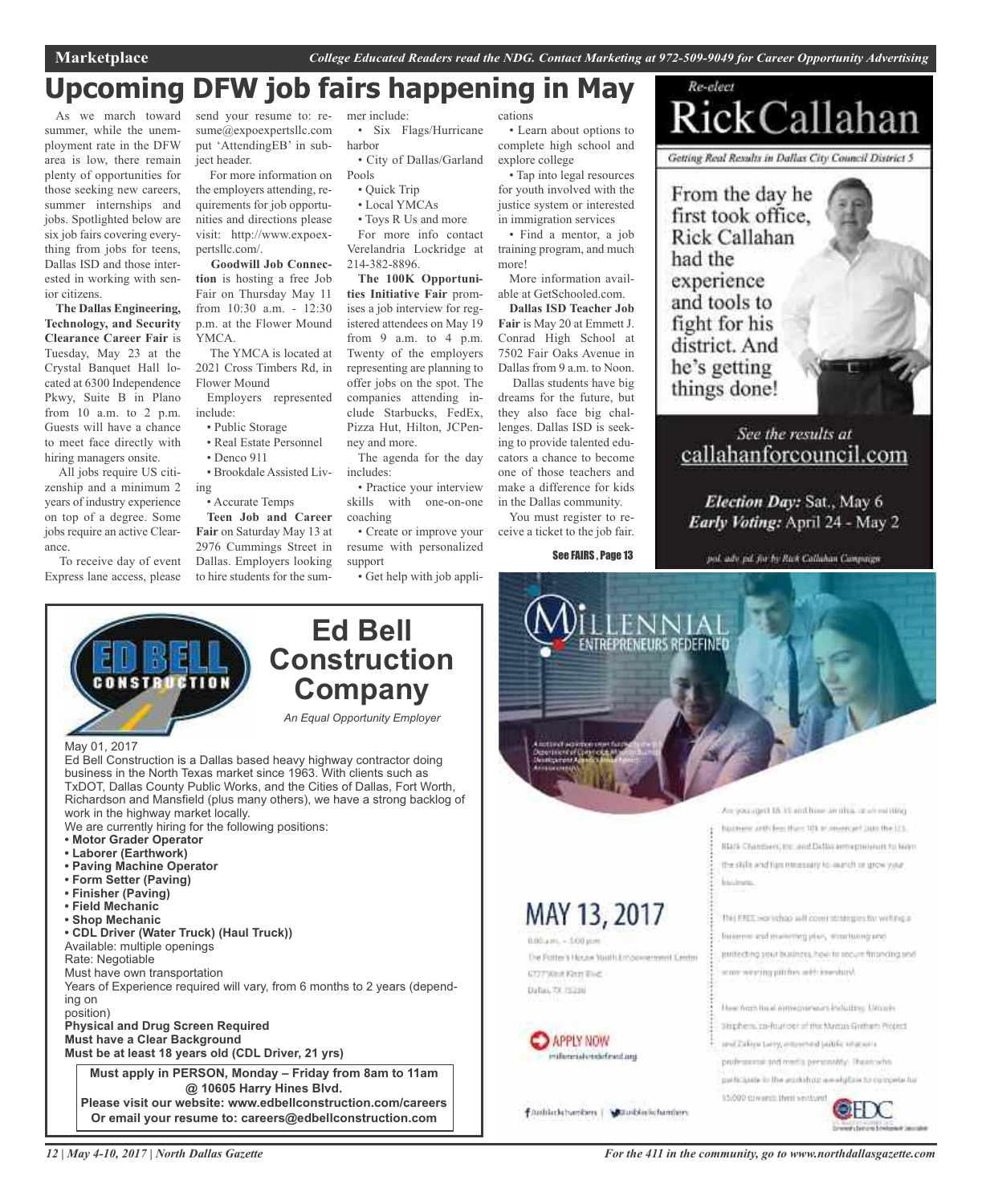Re-elect

## **Upcoming DFW job fairs happening in May**

As we march toward summer, while the unemployment rate in the DFW area is low, there remain plenty of opportunities for those seeking new careers, summer internships and jobs. Spotlighted below are six job fairs covering everything from jobs for teens, Dallas ISD and those interested in working with senior citizens.

**The Dallas Engineering, Technology, and Security Clearance Career Fair** is Tuesday, May 23 at the Crystal Banquet Hall located at 6300 Independence Pkwy, Suite B in Plano from 10 a.m. to 2 p.m. Guests will have a chance to meet face directly with hiring managers onsite.

All jobs require US citizenship and a minimum 2 years of industry experience on top of a degree. Some jobs require an active Clearance.

To receive day of event Express lane access, please

*12 | May 4-10, 2017 | North Dallas Gazette*

send your resume to: resume@expoexpertsllc.com put 'AttendingEB' in subject header.

For more information on the employers attending, requirements for job opportunities and directions please visit: http://www.expoexpertsllc.com/.

**Goodwill Job Connection** is hosting a free Job Fair on Thursday May 11 from 10:30 a.m. - 12:30 p.m. at the Flower Mound YMCA.

The YMCA is located at 2021 Cross Timbers Rd, in Flower Mound

Employers represented include:

- Public Storage
- Real Estate Personnel
- Denco 911

• Brookdale Assisted Living

• Accurate Temps **Teen Job and Career Fair** on Saturday May 13 at 2976 Cummings Street in Dallas. Employers looking to hire students for the summer include:

• Six Flags/Hurricane harbor

• City of Dallas/Garland Pools

- Quick Trip
- Local YMCAs

• Toys R Us and more

For more info contact Verelandria Lockridge at 214-382-8896.

**The 100K Opportunities Initiative Fair** promises a job interview for registered attendees on May 19 from 9 a.m. to 4 p.m. Twenty of the employers representing are planning to offer jobs on the spot. The companies attending include Starbucks, FedEx, Pizza Hut, Hilton, JCPenney and more.

The agenda for the day includes:

• Practice your interview skills with one-on-one coaching

• Create or improve your resume with personalized support

• Get help with job appli-

cations

• Learn about options to complete high school and explore college • Tap into legal resources

for youth involved with the justice system or interested in immigration services

• Find a mentor, a job training program, and much more! More information avail-

able at GetSchooled.com.

**Dallas ISD Teacher Job Fair** is May 20 at Emmett J. Conrad High School at 7502 Fair Oaks Avenue in Dallas from 9 a.m. to Noon.

Dallas students have big dreams for the future, but they also face big challenges. Dallas ISD is seeking to provide talented educators a chance to become one of those teachers and make a difference for kids in the Dallas community.

You must register to receive a ticket to the job fair.

See FAIRS , Page 13



See the results at callahanforcouncil.com

Election Day: Sat., May 6 Early Voting: April 24 - May 2

pol. adv pd. for by Rick Callaban Compaign



Event tickets will be re-**ENTREPRENEURS REDEFINED** Are younged 18.15 and him artifica, or an exhibit husbors with less than 101 to receivant Jun the LCL IBack-Chambers, Inc. and Dallas arrowpressed to Nam the stills and figure massary to -purch or grow your kisslmm. MAY 13, 2017 This EREC workshop will cover instruction for writing a Inserne and matering plan, winduring and  $0.00 \text{ s.m.} - 5.00 \text{ p.m.}$ primeching your business, how to secure financing sed The Potter's House Youth Empowerment Centre ware weeting pitches with inwohing 6727 Wind King King Dallai, TX 75216 Heecham look entrepreneurs including. Uranis Stiphen, co-fourise of the Nyean Gothers Polect **APPLY NOW** and Zaliju Larry, amastred Julific statement milionnials todefined my professional and media personality. The enwish patticipate in the atakkhup amolybic to compete for 15/000 covered their sections!

fanblickburden | Maublickbanden

*For the 411 in the community, go to www.northdallasgazette.com*

CHOC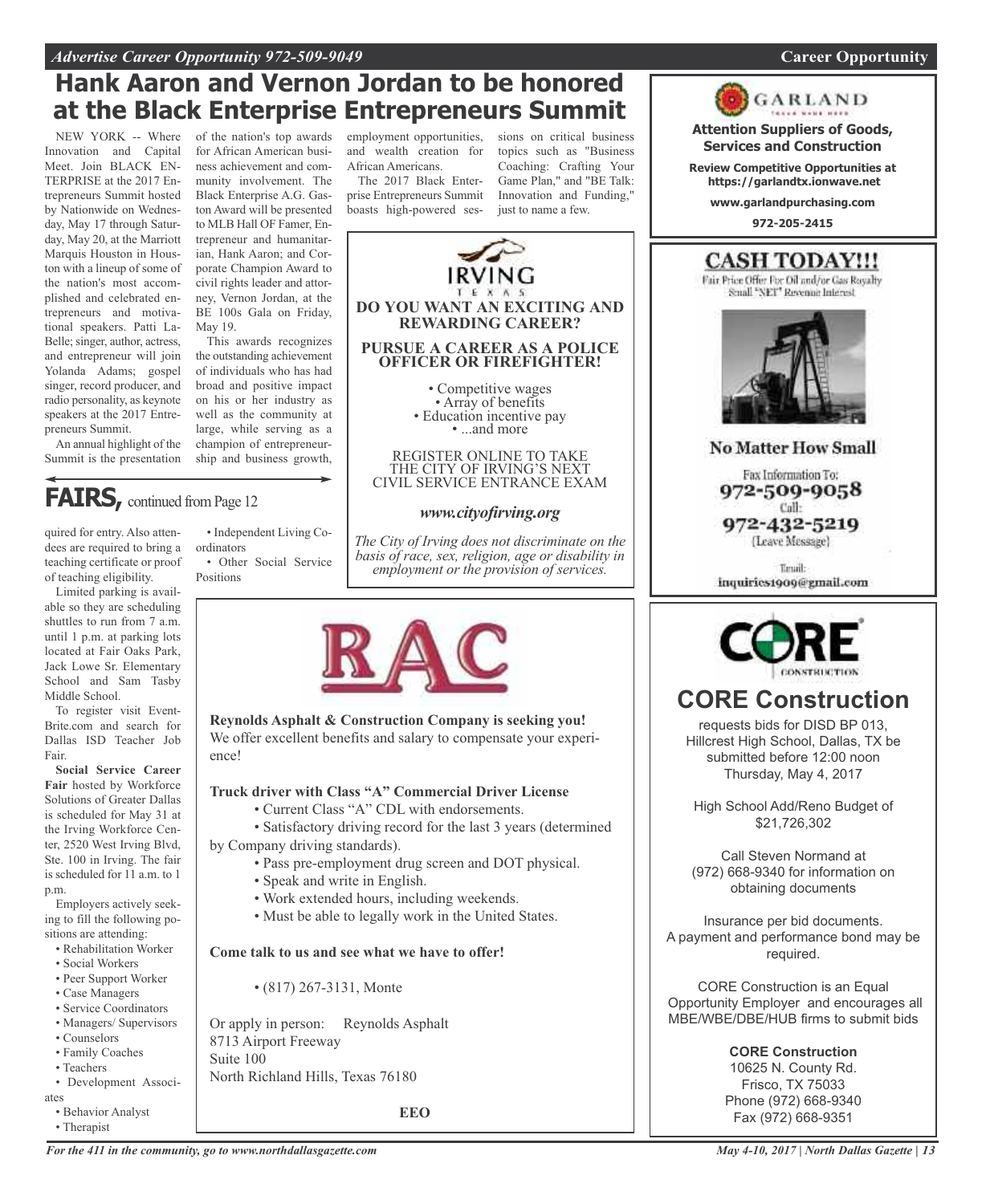### *Advertise Career Opportunity 972-509-9049* **Career Opportunity**

## **Hank Aaron and Vernon Jordan to be honored at the Black Enterprise Entrepreneurs Summit**

NEW YORK -- Where Innovation and Capital Meet. Join BLACK EN-TERPRISE at the 2017 Entrepreneurs Summit hosted by Nationwide on Wednesday, May 17 through Saturday, May 20, at the Marriott Marquis Houston in Houston with a lineup of some of the nation's most accomplished and celebrated entrepreneurs and motivational speakers. Patti La-Belle; singer, author, actress, and entrepreneur will join Yolanda Adams; gospel singer, record producer, and radio personality, as keynote speakers at the 2017 Entrepreneurs Summit.

An annual highlight of the Summit is the presentation

quired for entry. Also attendees are required to bring a teaching certificate or proof

**FAIRS**, continued from Page 12

of the nation's top awards for African American business achievement and community involvement. The Black Enterprise A.G. Gaston Award will be presented to MLB Hall OF Famer, Entrepreneur and humanitarian, Hank Aaron; and Corporate Champion Award to civil rights leader and attorney, Vernon Jordan, at the BE 100s Gala on Friday, May 19.

This awards recognizes the outstanding achievement of individuals who has had broad and positive impact on his or her industry as well as the community at large, while serving as a champion of entrepreneurship and business growth,

employment opportunities, and wealth creation for African Americans.

The 2017 Black Enterprise Entrepreneurs Summit boasts high-powered ses-

sions on critical business topics such as "Business Coaching: Crafting Your Game Plan," and "BE Talk: Innovation and Funding," just to name a few.



*The City of Irving does not discriminate on the*

of teaching eligibility. Limited parking is avail-

able so they are scheduling shuttles to run from 7 a.m. until 1 p.m. at parking lots located at Fair Oaks Park, Jack Lowe Sr. Elementary School and Sam Tasby Middle School.

To register visit Event-Brite.com and search for Dallas ISD Teacher Job Fair.

**Social Service Career Fair** hosted by Workforce Solutions of Greater Dallas is scheduled for May 31 at the Irving Workforce Center, 2520 West Irving Blvd, Ste. 100 in Irving. The fair is scheduled for 11 a.m. to 1 p.m.

Employers actively seeking to fill the following positions are attending:

• Rehabilitation Worker

- Social Workers
- Peer Support Worker
- Case Managers
- Service Coordinators
- Managers/ Supervisors
- Counselors
- Family Coaches
- Teachers
- Development Associates
	- Behavior Analyst
	- Therapist
- Independent Living Coordinators
- Other Social Service Positions

*basis of race, sex, religion, age or disability in employment or the provision of services.*



**Reynolds Asphalt & Construction Company is seeking you!** We offer excellent benefits and salary to compensate your experience!

### **Truck driver with Class "A" Commercial Driver License**

• Current Class "A" CDL with endorsements.

• Satisfactory driving record for the last 3 years (determined by Company driving standards).

- Pass pre-employment drug screen and DOT physical.
- Speak and write in English.
- Work extended hours, including weekends.
- Must be able to legally work in the United States.

### **Come talk to us and see what we have to offer!**

• (817) 267-3131, Monte

Or apply in person: Reynolds Asphalt 8713 Airport Freeway Suite 100 North Richland Hills, Texas 76180

**EEO**





(Leave Message)

Timuil: inquiries1909@gmail.com



### **CORE Construction**

requests bids for DISD BP 013, Hillcrest High School, Dallas, TX be submitted before 12:00 noon Thursday, May 4, 2017

High School Add/Reno Budget of \$21,726,302

Call Steven Normand at (972) 668-9340 for information on obtaining documents

Insurance per bid documents. A payment and performance bond may be required.

CORE Construction is an Equal Opportunity Employer and encourages all MBE/WBE/DBE/HUB firms to submit bids

> **CORE Construction** 10625 N. County Rd. Frisco, TX 75033 Phone (972) 668-9340 Fax (972) 668-9351

*For the 411 in the community, go to www.northdallasgazette.com*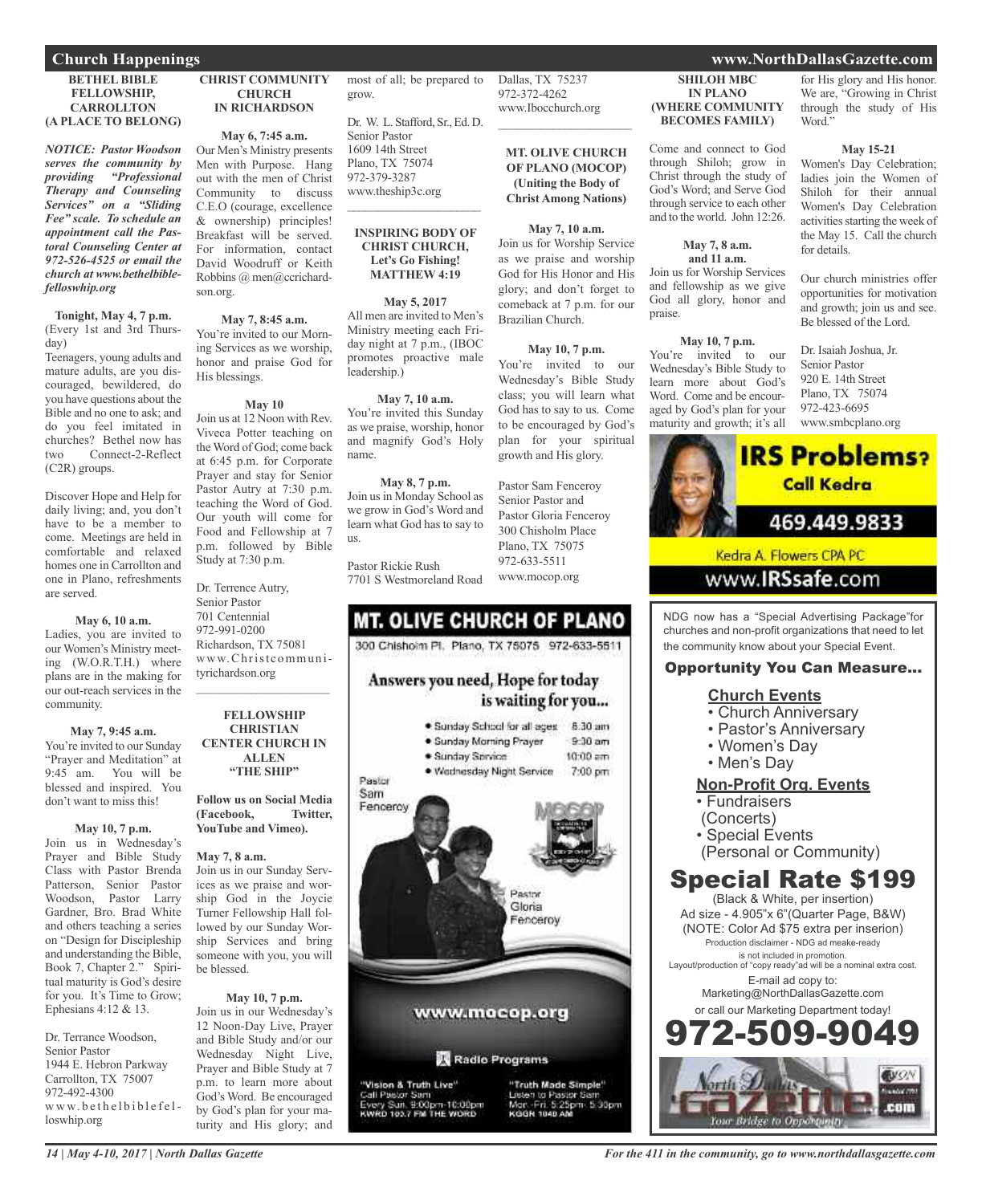#### **BETHEL BIBLE FELLOWSHIP, CARROLLTON (A PLACE TO BELONG)**

*NOTICE: Pastor Woodson serves the community by providing "Professional Therapy and Counseling Services" on a "Sliding Fee" scale. To schedule an appointment call the Pastoral Counseling Center at 972-526-4525 or email the church at www.bethelbiblefelloswhip.org*

**Tonight, May 4, 7 p.m.** (Every 1st and 3rd Thursday)

Teenagers, young adults and mature adults, are you discouraged, bewildered, do you have questions about the Bible and no one to ask; and do you feel imitated in churches? Bethel now has two Connect-2-Reflect (C2R) groups.

Discover Hope and Help for daily living; and, you don't have to be a member to come. Meetings are held in comfortable and relaxed homes one in Carrollton and one in Plano, refreshments are served.

### **May 6, 10 a.m.**

Ladies, you are invited to our Women's Ministry meeting (W.O.R.T.H.) where plans are in the making for our out-reach services in the community.

#### **May 7, 9:45 a.m.**

You're invited to our Sunday "Prayer and Meditation" at<br>9:45 am. You will be You will be blessed and inspired. You don't want to miss this!

#### **May 10, 7 p.m.**

Join us in Wednesday's Prayer and Bible Study Class with Pastor Brenda Patterson, Senior Pastor Woodson, Pastor Larry Gardner, Bro. Brad White and others teaching a series on "Design for Discipleship and understanding the Bible, Book 7, Chapter 2." Spiritual maturity is God's desire for you. It's Time to Grow; Ephesians 4:12 & 13.

Dr. Terrance Woodson, Senior Pastor 1944 E. Hebron Parkway Carrollton, TX 75007 972-492-4300 www.bethelbiblefelloswhip.org

**CHRIST COMMUNITY CHURCH IN RICHARDSON**

### **May 6, 7:45 a.m.**

Our Men's Ministry presents Men with Purpose. Hang out with the men of Christ Community to discuss C.E.O (courage, excellence & ownership) principles! Breakfast will be served. For information, contact David Woodruff or Keith Robbins @ men@ccrichardson.org.

#### **May 7, 8:45 a.m.**

You're invited to our Morning Services as we worship, honor and praise God for His blessings.

### **May 10**

Join us at 12 Noon with Rev. Viveca Potter teaching on the Word of God; come back at 6:45 p.m. for Corporate Prayer and stay for Senior Pastor Autry at 7:30 p.m. teaching the Word of God. Our youth will come for Food and Fellowship at 7 p.m. followed by Bible Study at 7:30 p.m.

Dr. Terrence Autry, Senior Pastor 701 Centennial 972-991-0200 Richardson, TX 75081 www.Christcommunityrichardson.org

**FELLOWSHIP CHRISTIAN CENTER CHURCH IN ALLEN "THE SHIP"**

 $\overline{\phantom{a}}$  , and the set of the set of the set of the set of the set of the set of the set of the set of the set of the set of the set of the set of the set of the set of the set of the set of the set of the set of the s

**Follow us on Social Media (Facebook, Twitter, YouTube and Vimeo).**

#### **May 7, 8 a.m.**

Join us in our Sunday Services as we praise and worship God in the Joycie Turner Fellowship Hall followed by our Sunday Worship Services and bring someone with you, you will be blessed.

### **May 10, 7 p.m.**

Join us in our Wednesday's 12 Noon-Day Live, Prayer and Bible Study and/or our Wednesday Night Live, Prayer and Bible Study at 7 p.m. to learn more about God's Word. Be encouraged by God's plan for your maturity and His glory; and

most of all; be prepared to grow.

Dallas, TX 75237 972-372-4262 www.Ibocchurch.org  $\overline{\phantom{a}}$  , and the set of the set of the set of the set of the set of the set of the set of the set of the set of the set of the set of the set of the set of the set of the set of the set of the set of the set of the s

**MT. OLIVE CHURCH OF PLANO (MOCOP) (Uniting the Body of Christ Among Nations)**

**May 7, 10 a.m.** Join us for Worship Service as we praise and worship God for His Honor and His glory; and don't forget to comeback at 7 p.m. for our

**May 10, 7 p.m.** You're invited to our Wednesday's Bible Study class; you will learn what God has to say to us. Come to be encouraged by God's plan for your spiritual growth and His glory.

Brazilian Church.

Pastor Sam Fenceroy Senior Pastor and Pastor Gloria Fenceroy 300 Chisholm Place Plano, TX 75075 972-633-5511 www.mocop.org

Dr. W. L. Stafford, Sr., Ed. D. Senior Pastor 1609 14th Street Plano, TX 75074 972-379-3287 www.theship3c.org

### **INSPIRING BODY OF CHRIST CHURCH, Let's Go Fishing! MATTHEW 4:19**

\_\_\_\_\_\_\_\_\_\_\_\_\_\_\_\_\_\_\_\_\_\_

#### **May 5, 2017**

All men are invited to Men's Ministry meeting each Friday night at 7 p.m., (IBOC promotes proactive male leadership.)

#### **May 7, 10 a.m.**

You're invited this Sunday as we praise, worship, honor and magnify God's Holy name.

### **May 8, 7 p.m.** Join usin Monday School as we grow in God's Word and learn what God has to say to us.

Pastor Rickie Rush 7701 S Westmoreland Road

### **MT. OLIVE CHURCH OF PLANO** 300 Chishoim Pt. Plano, TX 75075 972-633-5511

### Answers you need, Hope for today is waiting for you...

· Sunday School for all ages 8:30 am · Sunday Morning Prayer  $9-30$  am · Sunday Service  $10:00$  am · Wednesday Night Service 7:00 pm Pastor Sam Fenceroy Pastor Gloria enceroy www.mocop.org Radio Programs 'Vision & Truth Live" "Truth Made Simple" Call Pastor Sam<br>Every Sun, 9:00pm-10:00pm<br>KWRD 103.7 FM THE WORD Listen to Pastor St<br>Mort - Fri, 5:25pm 5:30pm KODN 1040 AM

### **SHILOH MBC IN PLANO (WHERE COMMUNITY BECOMES FAMILY)**

Come and connect to God through Shiloh; grow in Christ through the study of God's Word; and Serve God through service to each other and to the world. John 12:26.

### **May 7, 8 a.m. and 11 a.m.**

Join us for Worship Services praise.

### **May 10, 7 p.m.**

Wednesday's Bible Study to learn more about God's Word. Come and be encouraged by God's plan for your maturity and growth; it's all

and fellowship as we give God all glory, honor and

You're invited to our

**May 15-21** Women's Day Celebration; ladies join the Women of

Shiloh for their annual Women's Day Celebration activities starting the week of the May 15. Call the church for details.

for His glory and His honor. We are, "Growing in Christ through the study of His

Our church ministries offer opportunities for motivation and growth; join us and see. Be blessed of the Lord.

Dr. Isaiah Joshua, Jr. Senior Pastor 920 E. 14th Street Plano, TX 75074 972-423-6695 www.smbcplano.org



### www.IRSsafe.com

NDG now has a "Special Advertising Package"for churches and non-profit organizations that need to let the community know about your Special Event.

### Opportunity You Can Measure...

### **Church Events**

- Church Anniversary
- Pastor's Anniversary
- Women's Day
- Men's Day

### **Non-Profit Org. Events**

- Fundraisers
- (Concerts)
- Special Events
- (Personal or Community)

### Special Rate \$199

(Black & White, per insertion) Ad size - 4.905"x 6"(Quarter Page, B&W) (NOTE: Color Ad \$75 extra per inserion) Production disclaimer - NDG ad meake-ready is not included in promotion. Layout/production of "copy ready"ad will be a nominal extra cost. E-mail ad copy to: Marketing@NorthDallasGazette.com or call our Marketing Department today! -509-9



#### *For the 411 in the community, go to www.northdallasgazette.com*

### **Church Happenings www.NorthDallasGazette.com**

Word."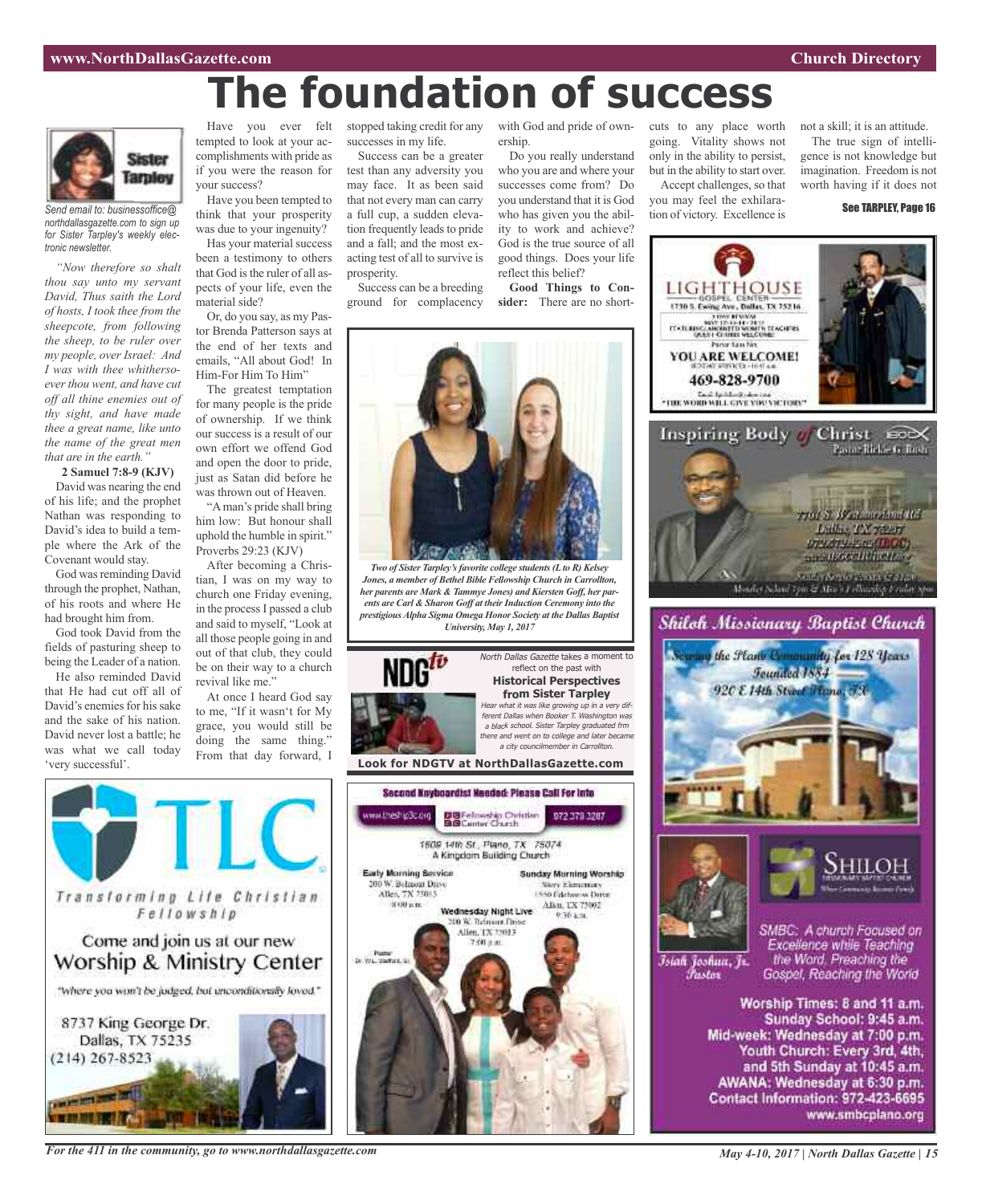# **The foundation of success**



*Send email to: businessoffice@ northdallasgazette.com to sign up for Sister Tarpley's weekly electronic newsletter.*

*"Now therefore so shalt thou say unto my servant David, Thus saith the Lord of hosts, I took thee from the sheepcote, from following the sheep, to be ruler over my people, over Israel: And I was with thee whithersoeverthou went, and have cut off all thine enemies out of thy sight, and have made thee a great name, like unto the name of the great men that are in the earth."*

**2 Samuel 7:8-9 (KJV)** David was nearing the end of his life; and the prophet Nathan was responding to David's idea to build a temple where the Ark of the Covenant would stay.

God was reminding David through the prophet, Nathan, of his roots and where He had brought him from.

God took David from the fields of pasturing sheep to being the Leader of a nation.

He also reminded David that He had cut off all of David's enemies for his sake and the sake of his nation. David never lost a battle; he was what we call today 'very successful'.

tempted to look at your accomplishments with pride as if you were the reason for your success?

think that your prosperity was due to your ingenuity?

that God is the ruler of all aspects of your life, even the material side?

Or, do you say, as my Pastor Brenda Patterson says at the end of her texts and emails, "All about God! In Him-For Him To Him"

The greatest temptation for many people is the pride of ownership. If we think our success is a result of our own effort we offend God and open the door to pride, just as Satan did before he was thrown out of Heaven.

him low: But honour shall uphold the humble in spirit." Proverbs 29:23 (KJV)

After becoming a Christian, I was on my way to church one Friday evening, in the process I passed a club and said to myself, "Look at all those people going in and out of that club, they could be on their way to a church revival like me."

to me, "If it wasn't for My grace, you would still be doing the same thing." From that day forward, I



Have you been tempted to

Has your material success been a testimony to others

"Aman's pride shall bring

At once I heard God say



*For the 411 in the community, go to www.northdallasgazette.com*

Have you ever felt stopped taking credit for any with God and pride of ownsuccesses in my life.

> Success can be a greater test than any adversity you may face. It as been said that not every man can carry a full cup, a sudden elevation frequently leads to pride and a fall; and the most exacting test of all to survive is prosperity.

Success can be a breeding ground for complacency ership.

Do you really understand who you are and where your successes come from? Do you understand that it is God who has given you the ability to work and achieve? God is the true source of all good things. Does your life reflect this belief?

**Good Things to Consider:** There are no short-

cuts to any place worth going. Vitality shows not only in the ability to persist, but in the ability to start over. Accept challenges, so that

you may feel the exhilaration of victory. Excellence is not a skill; it is an attitude. The true sign of intelligence is not knowledge but

imagination. Freedom is not

worth having if it does not See TARPLEY, Page 16





Īsiah Joshua, Jr. Fustor

SMBC: A church Focused on Excellence while Teaching the Word. Preaching the Gospel, Reaching the World

Worship Times: 8 and 11 a.m. Sunday School: 9:45 a.m. Mid-week: Wednesday at 7:00 p.m. Youth Church: Every 3rd, 4th, and 5th Sunday at 10:45 a.m. AWANA: Wednesday at 6:30 p.m. Contact Information: 972-423-6695 www.smbcplano.org



*Two of Sister Tarpley'sfavorite college students(Lto R) Kelsey Jones, a member of Bethel Bible Fellowship Church in Carrollton, her parents are Mark & Tammye Jones) and Kiersten Goff, her parents are Carl & Sharon Goff at theirInduction Ceremony into the prestigiousAlpha Sigma Omega Honor Society at the Dallas Baptist University, May 1, 2017*



reflect on the past with **Historical Perspectives from Sister Tarpley** Hear what it was like growing up in <sup>a</sup> very different Dallas when Booker T. Washington was <sup>a</sup> black school. Sister Tarpley graduated frm there and went on to college and later became

<sup>a</sup> city councilmember in Carrollton.

North Dallas Gazette takes a moment to

**Look for NDGTV at NorthDallasGazette.com**